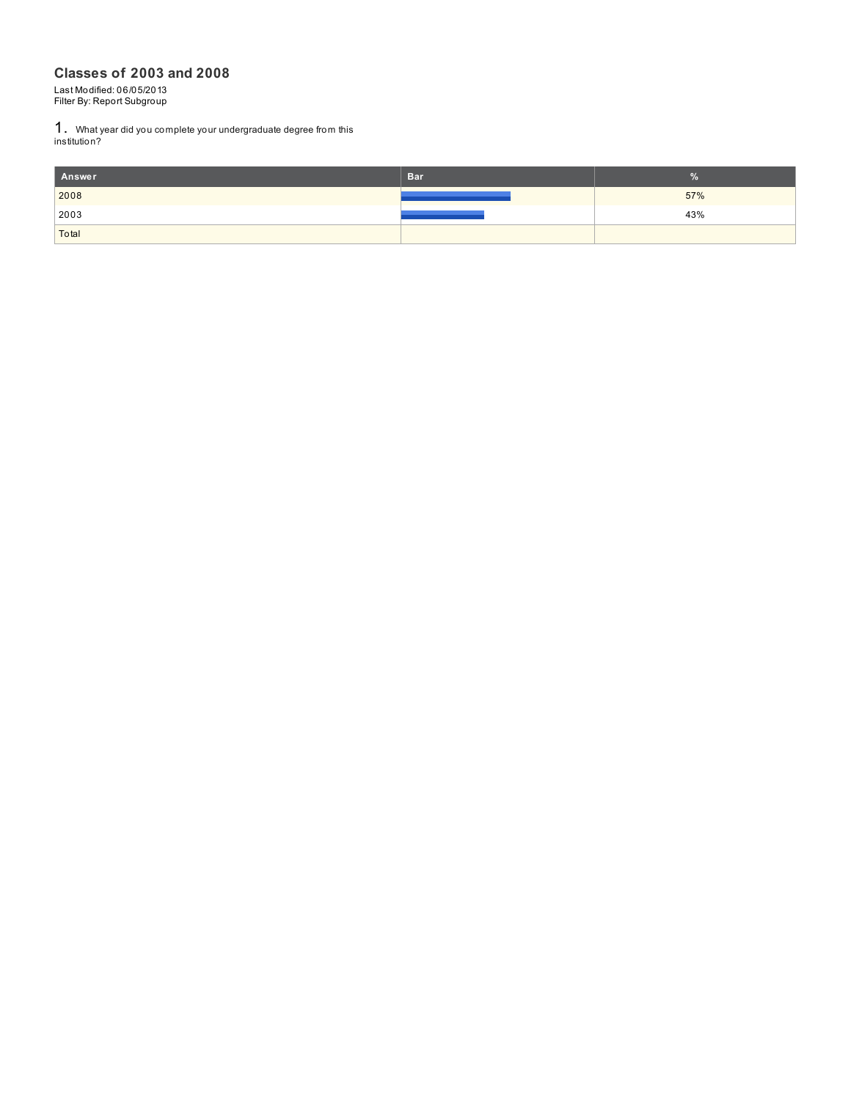## **Classes of 2003 and 2008**

Last Modified: 06/05/2013 Filter By: Report Subgroup

1. What year did you complete your undergraduate degree from this institution?

| Answer | <b>Bar</b> |     |
|--------|------------|-----|
| 2008   |            | 57% |
| 2003   |            | 43% |
| Total  |            |     |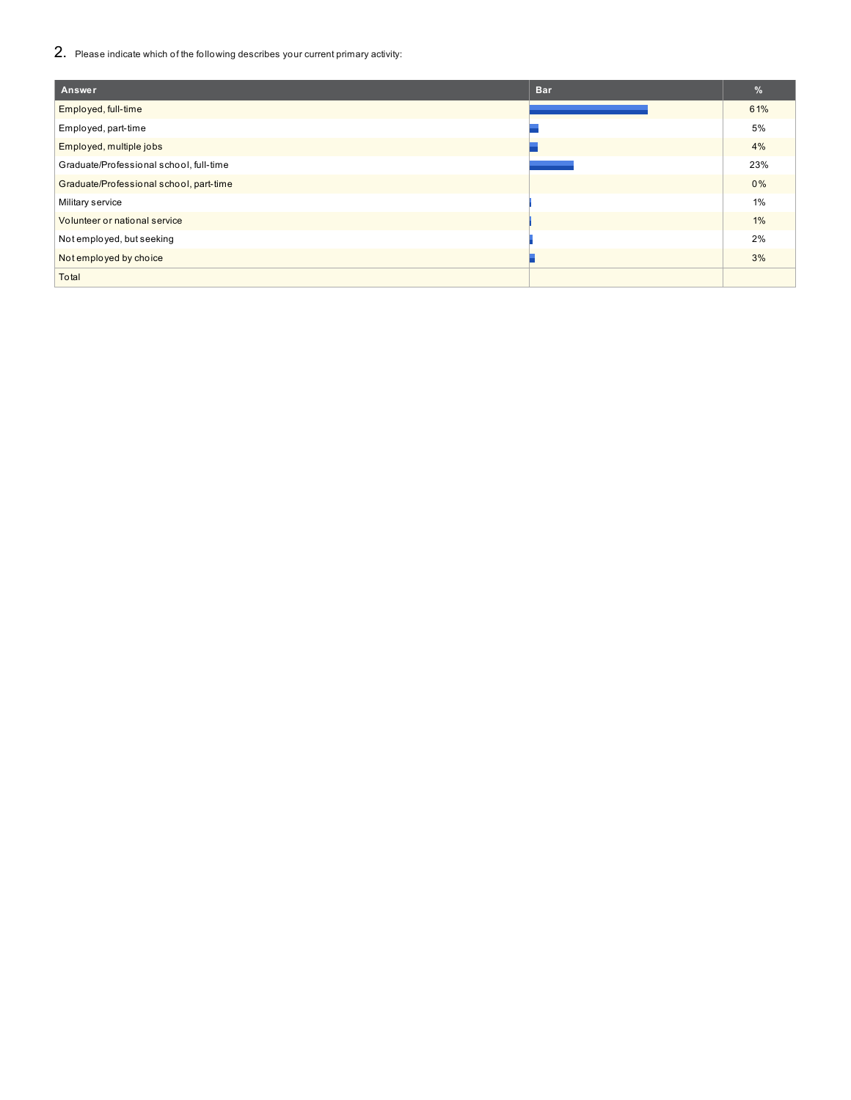2. Please indicate which of the following describes your current primary activity:

| Answer                                  | <b>Bar</b> | %     |
|-----------------------------------------|------------|-------|
| Employed, full-time                     |            | 61%   |
| Employed, part-time                     |            | 5%    |
| Employed, multiple jobs                 |            | 4%    |
| Graduate/Professional school, full-time |            | 23%   |
| Graduate/Professional school, part-time |            | 0%    |
| Military service                        |            | $1\%$ |
| Volunteer or national service           |            | 1%    |
| Not employed, but seeking               |            | 2%    |
| Not employed by choice                  |            | 3%    |
| Total                                   |            |       |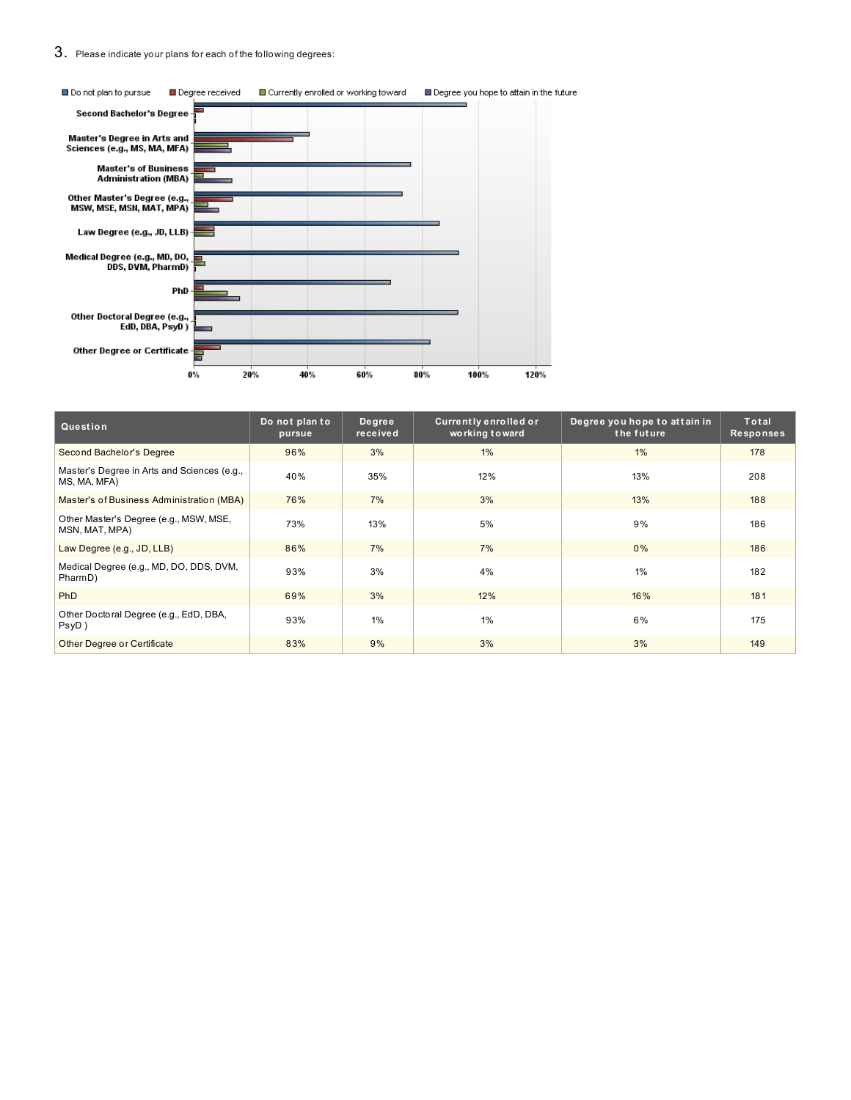

| Question                                                    | Do not plan to<br>pursue | Degree<br>received | <b>Currently enrolled or</b><br>working to ward | Degree you hope to attain in<br>the future | Total<br><b>Responses</b> |
|-------------------------------------------------------------|--------------------------|--------------------|-------------------------------------------------|--------------------------------------------|---------------------------|
| Second Bachelor's Degree                                    | 96%                      | 3%                 | $1\%$                                           | $1\%$                                      | 178                       |
| Master's Degree in Arts and Sciences (e.g.,<br>MS, MA, MFA) | 40%                      | 35%                | 12%                                             | 13%                                        | 208                       |
| Master's of Business Administration (MBA)                   | 76%                      | 7%                 | 3%                                              | 13%                                        | 188                       |
| Other Master's Degree (e.g., MSW, MSE,<br>MSN, MAT, MPA)    | 73%                      | 13%                | 5%                                              | 9%                                         | 186                       |
| Law Degree (e.g., JD, LLB)                                  | 86%                      | 7%                 | 7%                                              | $0\%$                                      | 186                       |
| Medical Degree (e.g., MD, DO, DDS, DVM,<br>PharmD)          | 93%                      | 3%                 | 4%                                              | 1%                                         | 182                       |
| <b>PhD</b>                                                  | 69%                      | 3%                 | 12%                                             | 16%                                        | 181                       |
| Other Doctoral Degree (e.g., EdD, DBA,<br>$PsyD$ )          | 93%                      | $1\%$              | $1\%$                                           | 6%                                         | 175                       |
| Other Degree or Certificate                                 | 83%                      | 9%                 | 3%                                              | 3%                                         | 149                       |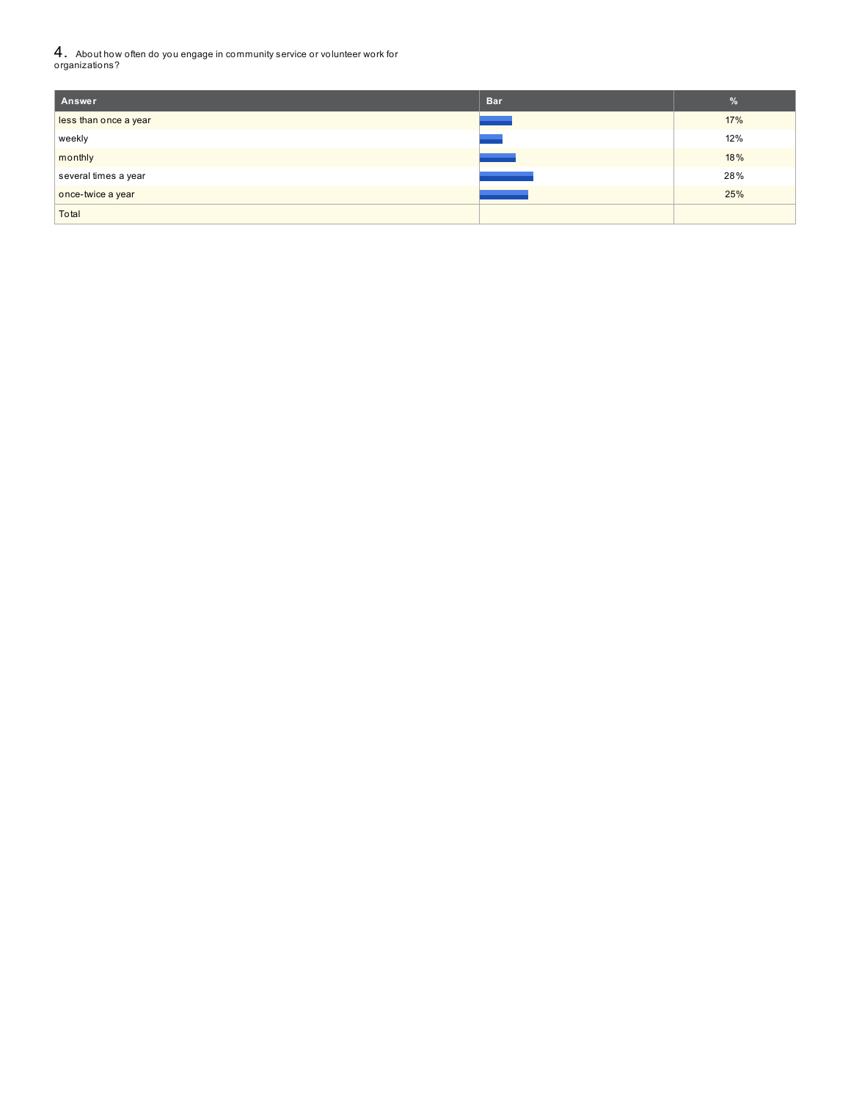$4_{\scriptscriptstyle\cdot\cdot}\,$  About how often do you engage in community service or volunteer work for organizations?

| Answer                | <b>Bar</b> | $\%$ |
|-----------------------|------------|------|
| less than once a year |            | 17%  |
| weekly                |            | 12%  |
| monthly               |            | 18%  |
| several times a year  |            | 28%  |
| once-twice a year     |            | 25%  |
| Total                 |            |      |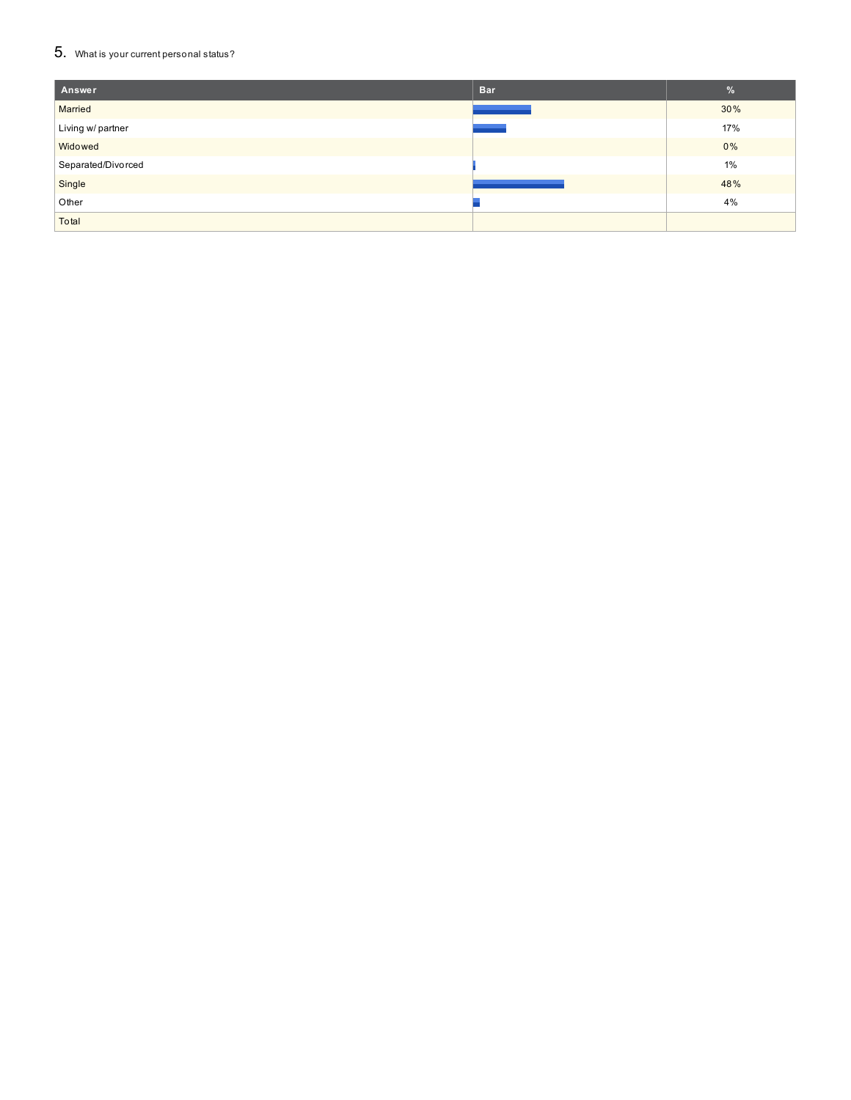### $5_{\cdot}\,$  What is your current personal status?

| Answer             | <b>Bar</b> | $\%$  |
|--------------------|------------|-------|
| Married            |            | 30%   |
| Living w/ partner  |            | 17%   |
| Widowed            |            | $0\%$ |
| Separated/Divorced |            | 1%    |
| Single             |            | 48%   |
| Other              |            | 4%    |
| Total              |            |       |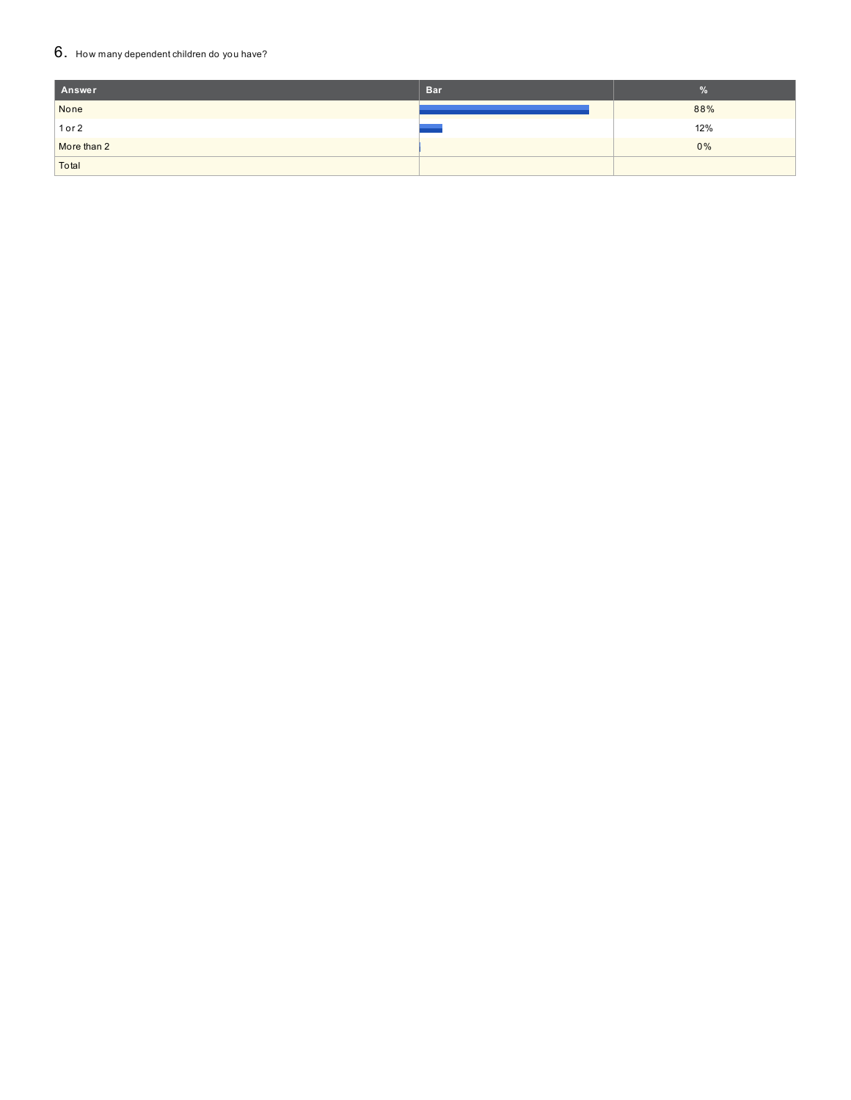### $6. \,$  How many dependent children do you have?

| Answer      | <b>Bar</b> | $\%$ |
|-------------|------------|------|
| None        |            | 88%  |
| 1 or 2      |            | 12%  |
| More than 2 |            | 0%   |
| Total       |            |      |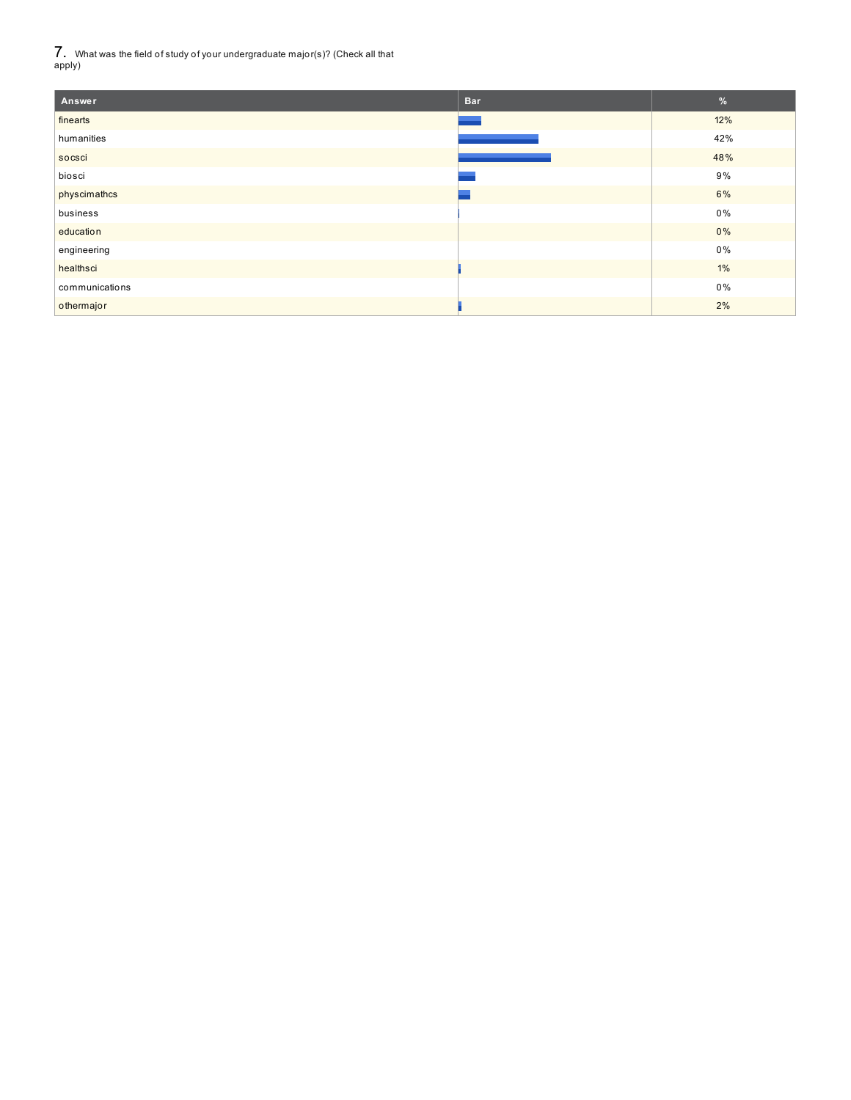7. What was the field of study of your undergraduate major(s)? (Check all that apply)

| Answer         | <b>Bar</b> | $\%$  |
|----------------|------------|-------|
| finearts       |            | 12%   |
| humanities     |            | 42%   |
| socsci         |            | 48%   |
| biosci         |            | 9%    |
| physcimathcs   |            | 6%    |
| business       |            | $0\%$ |
| education      |            | $0\%$ |
| engineering    |            | $0\%$ |
| healthsci      |            | $1\%$ |
| communications |            | $0\%$ |
| othermajor     |            | 2%    |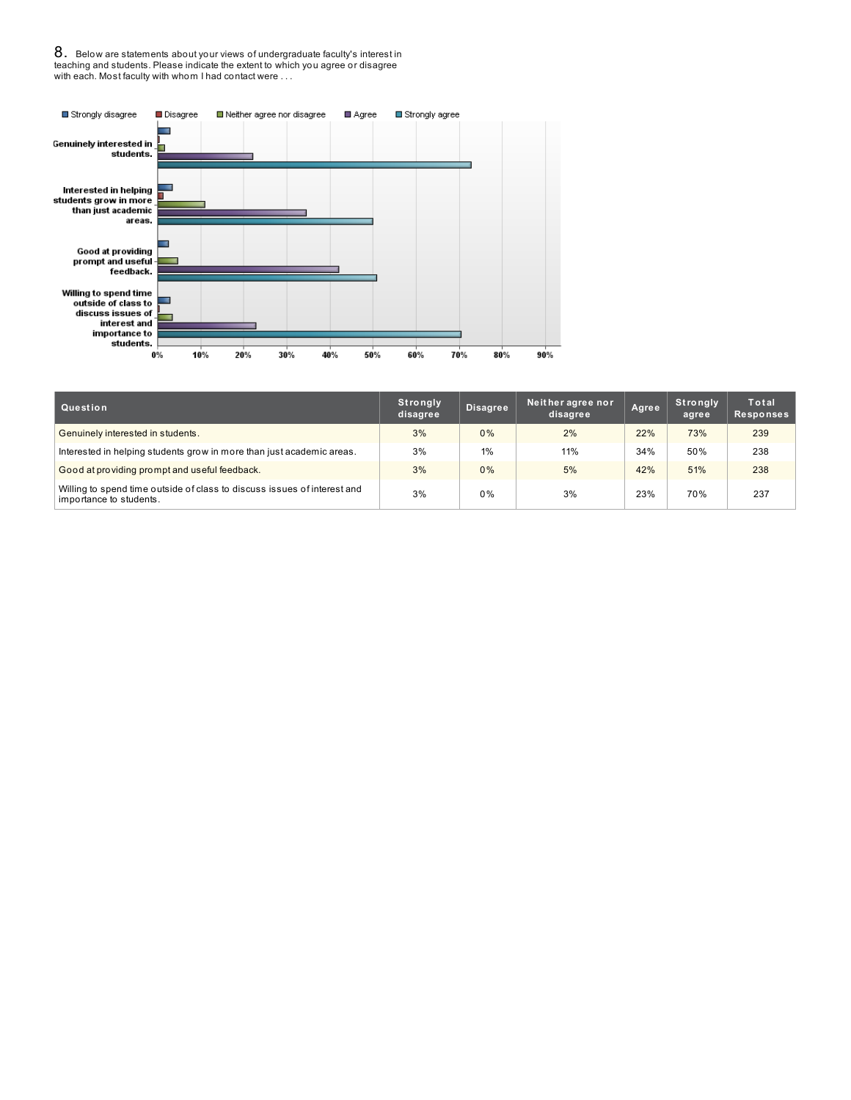8. Below are statements about your views of undergraduate faculty's interest in teaching and students. Please indicate the extent to which you agree or disagree with each. Most faculty with whom I had contact were ...



| Question                                                                                            | Strongly<br>disagree | <b>Disagree</b> | Neither agree nor<br>disagree | Agree | Strongly<br>agree | Total<br><b>Responses</b> |
|-----------------------------------------------------------------------------------------------------|----------------------|-----------------|-------------------------------|-------|-------------------|---------------------------|
| Genuinely interested in students.                                                                   | 3%                   | 0%              | 2%                            | 22%   | 73%               | 239                       |
| Interested in helping students grow in more than just academic areas.                               | 3%                   | $1\%$           | 11%                           | 34%   | 50%               | 238                       |
| Good at providing prompt and useful feedback.                                                       | 3%                   | 0%              | 5%                            | 42%   | 51%               | 238                       |
| Willing to spend time outside of class to discuss issues of interest and<br>importance to students. | 3%                   | $0\%$           | 3%                            | 23%   | 70%               | 237                       |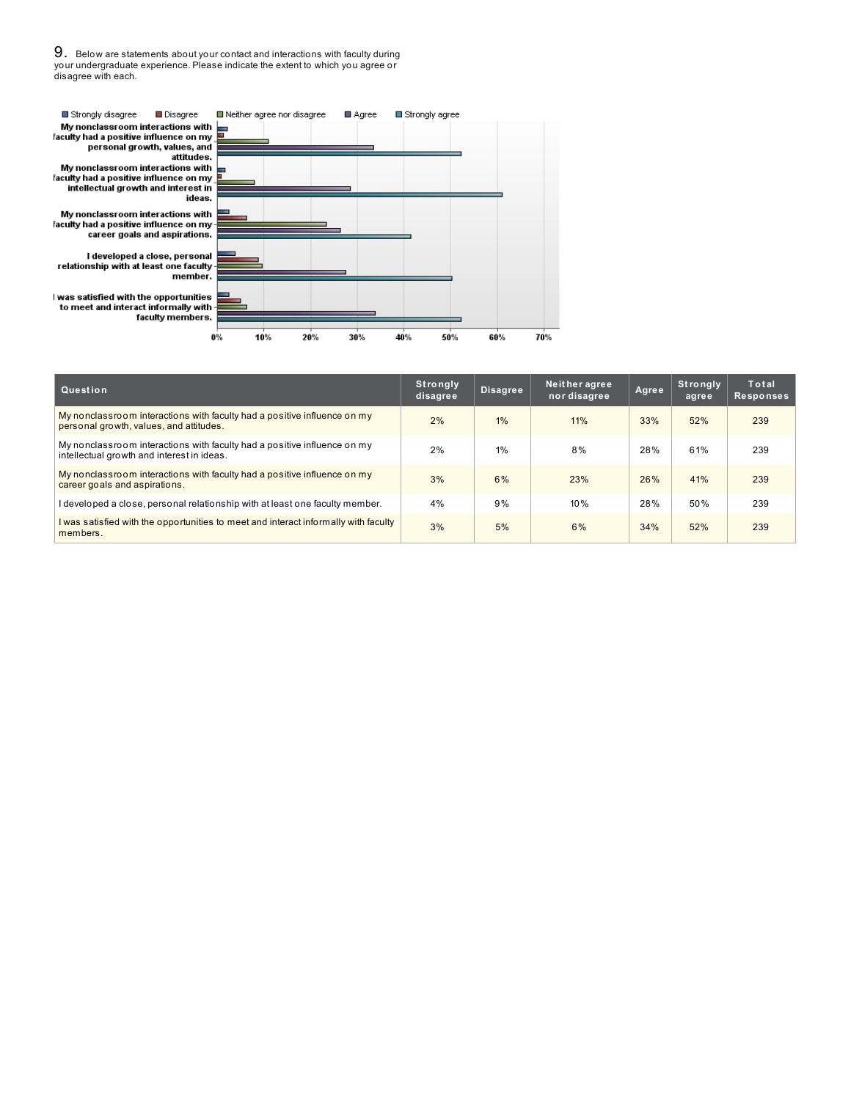9. Below are statements about your contact and interactions with faculty during your undergraduate experience. Please indicate the extent to which you agree or disagree with each.



| Question                                                                                                                | <b>Strongly</b><br>disagree | <b>Disagree</b> | Neither agree<br>nor disagree | Agree | <b>Strongly</b><br>agree | Total<br><b>Responses</b> |
|-------------------------------------------------------------------------------------------------------------------------|-----------------------------|-----------------|-------------------------------|-------|--------------------------|---------------------------|
| My nonclass room interactions with faculty had a positive influence on my<br>personal growth, values, and attitudes.    | 2%                          | $1\%$           | 11%                           | 33%   | 52%                      | 239                       |
| My nonclass room interactions with faculty had a positive influence on my<br>intellectual growth and interest in ideas. | 2%                          | 1%              | 8%                            | 28%   | 61%                      | 239                       |
| My nonclassroom interactions with faculty had a positive influence on my<br>career goals and aspirations.               | 3%                          | 6%              | 23%                           | 26%   | 41%                      | 239                       |
| I developed a close, personal relationship with at least one faculty member.                                            | 4%                          | 9%              | 10%                           | 28%   | 50%                      | 239                       |
| I was satisfied with the opportunities to meet and interact informally with faculty<br>members.                         | 3%                          | 5%              | 6%                            | 34%   | 52%                      | 239                       |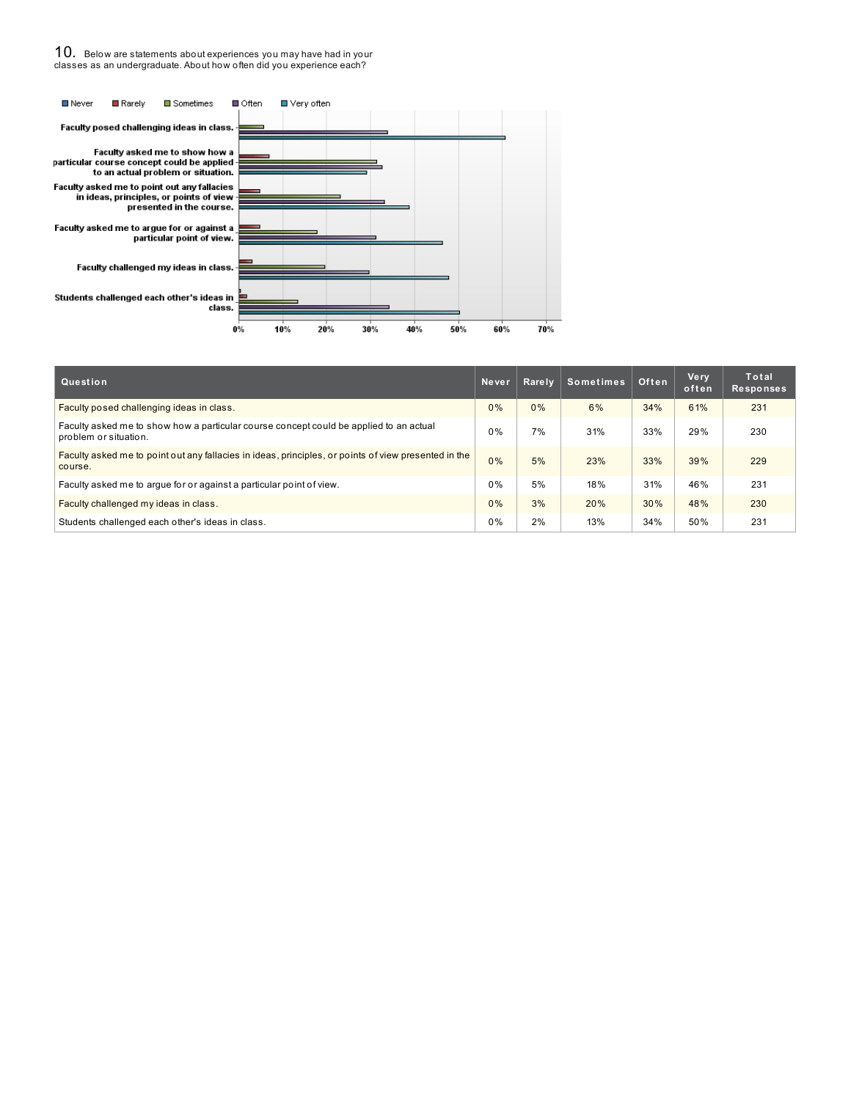10. Below are statements about experiences you may have had in your classes as an undergraduate. About how often did you experience each?



| Question                                                                                                        | Never | Rarely | <b>Sometimes</b> | Often | <b>Very</b><br>often | Total<br><b>Responses</b> |
|-----------------------------------------------------------------------------------------------------------------|-------|--------|------------------|-------|----------------------|---------------------------|
| Faculty posed challenging ideas in class.                                                                       | $0\%$ | 0%     | 6%               | 34%   | 61%                  | 231                       |
| Faculty asked me to show how a particular course concept could be applied to an actual<br>problem or situation. | 0%    | 7%     | 31%              | 33%   | 29%                  | 230                       |
| Faculty asked me to point out any fallacies in ideas, principles, or points of view presented in the<br>course. | $0\%$ | 5%     | 23%              | 33%   | 39%                  | 229                       |
| Faculty asked me to argue for or against a particular point of view.                                            | $0\%$ | 5%     | 18%              | 31%   | 46%                  | 231                       |
| Faculty challenged my ideas in class.                                                                           | $0\%$ | 3%     | 20%              | 30%   | 48%                  | 230                       |
| Students challenged each other's ideas in class.                                                                | 0%    | 2%     | 13%              | 34%   | 50%                  | 231                       |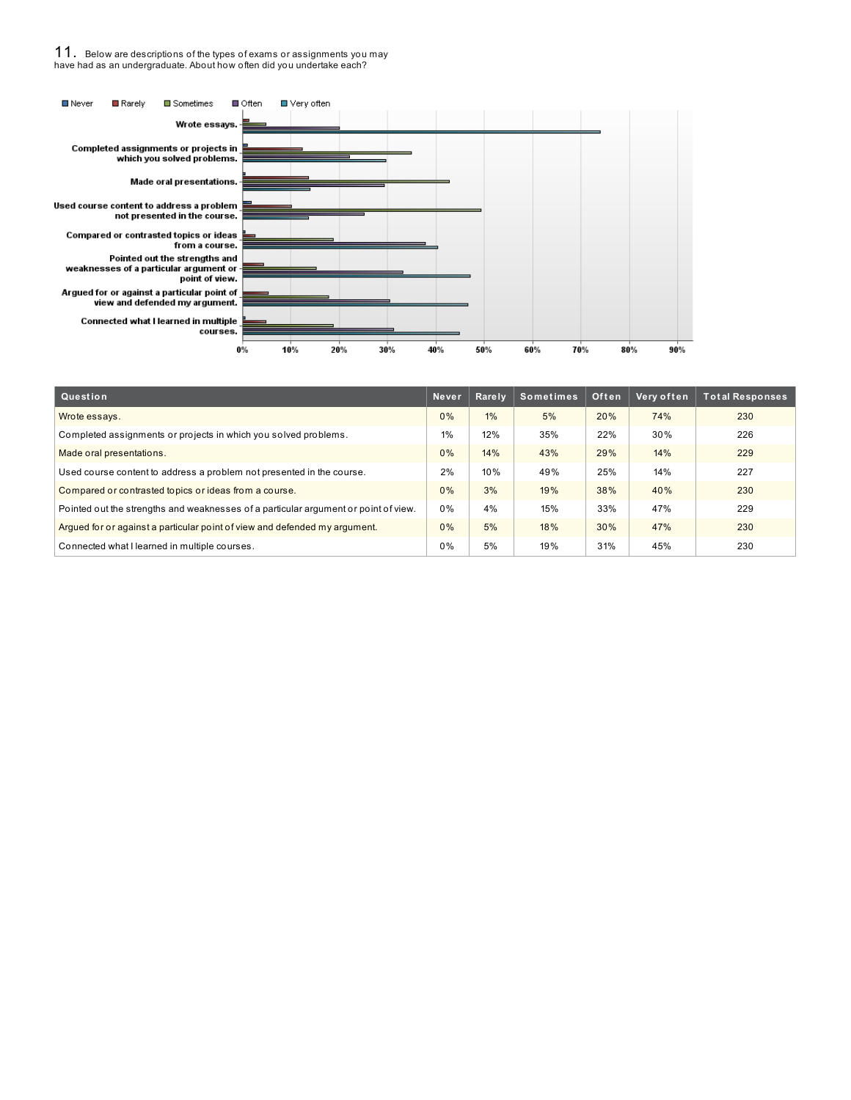### 11. Below are descriptions of the types of exams or assignments you may have had as an undergraduate. About how often did you undertake each?



| Question                                                                            | Never | Rarely | <b>Sometimes</b> | Often | Very often | <b>Total Responses</b> |
|-------------------------------------------------------------------------------------|-------|--------|------------------|-------|------------|------------------------|
| Wrote essays.                                                                       | 0%    | $1\%$  | 5%               | 20%   | 74%        | 230                    |
| Completed assignments or projects in which you solved problems.                     | 1%    | 12%    | 35%              | 22%   | 30%        | 226                    |
| Made oral presentations.                                                            | 0%    | 14%    | 43%              | 29%   | 14%        | 229                    |
| Used course content to address a problem not presented in the course.               | 2%    | 10%    | 49%              | 25%   | 14%        | 227                    |
| Compared or contrasted topics or ideas from a course.                               | 0%    | 3%     | 19%              | 38%   | 40%        | 230                    |
| Pointed out the strengths and weaknesses of a particular argument or point of view. | 0%    | 4%     | 15%              | 33%   | 47%        | 229                    |
| Arqued for or against a particular point of view and defended my argument.          | 0%    | 5%     | 18%              | 30%   | 47%        | 230                    |
| Connected what I learned in multiple courses.                                       | 0%    | 5%     | 19%              | 31%   | 45%        | 230                    |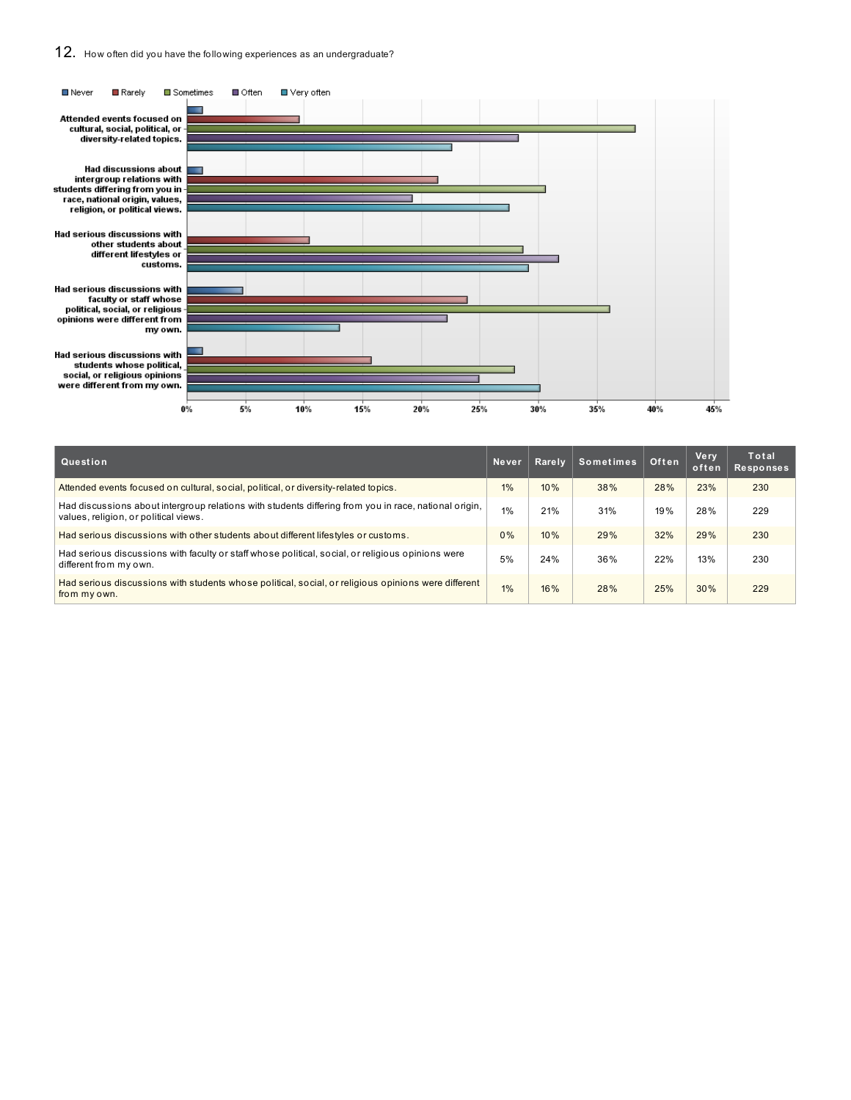

| Question                                                                                                                                       | <b>Never</b> | Rarely | Sometimes   Often |     | <b>Very</b><br>often | <b>Total</b><br><b>Responses</b> |
|------------------------------------------------------------------------------------------------------------------------------------------------|--------------|--------|-------------------|-----|----------------------|----------------------------------|
| Attended events focused on cultural, social, political, or diversity-related topics.                                                           | $1\%$        | 10%    | 38%               | 28% | 23%                  | 230                              |
| Had discussions about intergroup relations with students differing from you in race, national origin,<br>values, religion, or political views. | $1\%$        | 21%    | 31%               | 19% | 28%                  | 229                              |
| Had serious discussions with other students about different lifestyles or customs.                                                             | $0\%$        | 10%    | 29%               | 32% | 29%                  | 230                              |
| Had serious discussions with faculty or staff whose political, social, or religious opinions were<br>different from my own.                    | 5%           | 24%    | 36%               | 22% | 13%                  | 230                              |
| Had serious discussions with students whose political, social, or religious opinions were different<br>from my own.                            | 1%           | 16%    | 28%               | 25% | 30%                  | 229                              |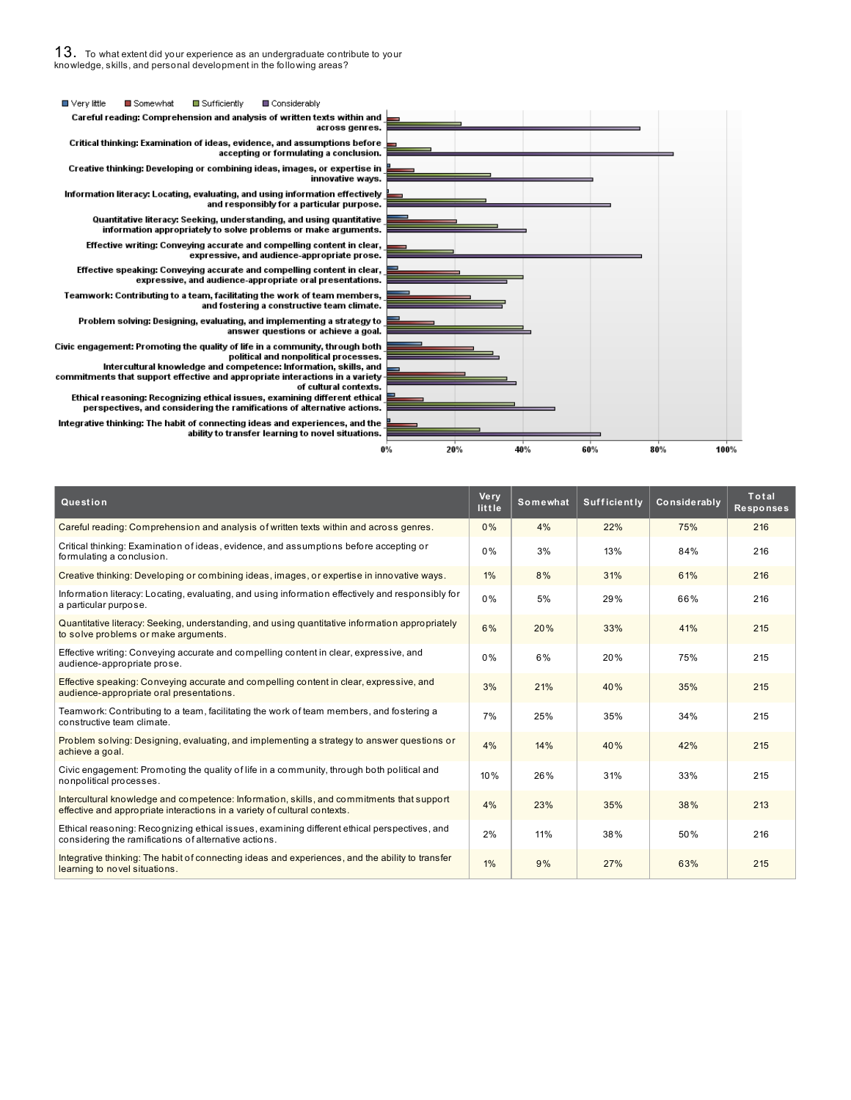

| Question                                                                                                                                                               | <b>Very</b><br>little | Somewhat | Sufficiently | Considerably | Total<br><b>Responses</b> |
|------------------------------------------------------------------------------------------------------------------------------------------------------------------------|-----------------------|----------|--------------|--------------|---------------------------|
| Careful reading: Comprehension and analysis of written texts within and across genres.                                                                                 | 0%                    | 4%       | 22%          | 75%          | 216                       |
| Critical thinking: Examination of ideas, evidence, and assumptions before accepting or<br>formulating a conclusion.                                                    | 0%                    | 3%       | 13%          | 84%          | 216                       |
| Creative thinking: Developing or combining ideas, images, or expertise in innovative ways.                                                                             | $1\%$                 | 8%       | 31%          | 61%          | 216                       |
| Information literacy: Locating, evaluating, and using information effectively and responsibly for<br>a particular purpose.                                             | 0%                    | 5%       | 29%          | 66%          | 216                       |
| Quantitative literacy: Seeking, understanding, and using quantitative information appropriately<br>to solve problems or make arguments.                                | 6%                    | 20%      | 33%          | 41%          | 215                       |
| Effective writing: Conveying accurate and compelling content in clear, expressive, and<br>audience-appropriate prose.                                                  | 0%                    | 6%       | 20%          | 75%          | 215                       |
| Effective speaking: Conveying accurate and compelling content in clear, expressive, and<br>audience-appropriate oral presentations.                                    | 3%                    | 21%      | 40%          | 35%          | 215                       |
| Teamwork: Contributing to a team, facilitating the work of team members, and fostering a<br>constructive team climate.                                                 | 7%                    | 25%      | 35%          | 34%          | 215                       |
| Problem solving: Designing, evaluating, and implementing a strategy to answer questions or<br>achieve a goal.                                                          | 4%                    | 14%      | 40%          | 42%          | 215                       |
| Civic engagement: Promoting the quality of life in a community, through both political and<br>nonpolitical processes.                                                  | 10%                   | 26%      | 31%          | 33%          | 215                       |
| Intercultural knowledge and competence: Information, skills, and commitments that support<br>effective and appropriate interactions in a variety of cultural contexts. | 4%                    | 23%      | 35%          | 38%          | 213                       |
| Ethical reasoning: Recognizing ethical issues, examining different ethical perspectives, and<br>considering the ramifications of alternative actions.                  | 2%                    | 11%      | 38%          | 50%          | 216                       |
| Integrative thinking: The habit of connecting ideas and experiences, and the ability to transfer<br>learning to novel situations.                                      | 1%                    | 9%       | 27%          | 63%          | 215                       |

100%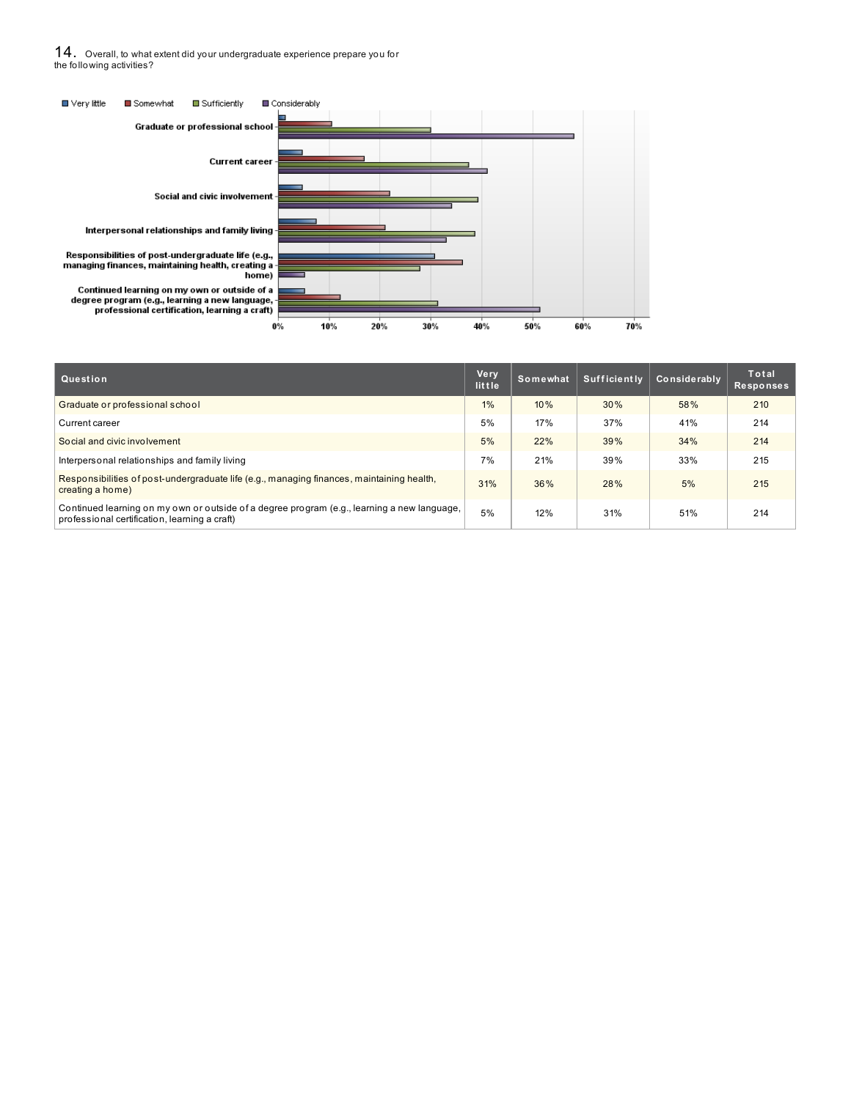${\bf 14}_{\cdot}\;$  Overall, to what extent did your undergraduate experience prepare you for<br>the following activities?



| Question                                                                                                                                     | <b>Very</b><br>little | Somewhat | Sufficiently | <b>Considerably</b> | Total<br><b>Responses</b> |
|----------------------------------------------------------------------------------------------------------------------------------------------|-----------------------|----------|--------------|---------------------|---------------------------|
| Graduate or professional school                                                                                                              | 1%                    | 10%      | 30%          | 58%                 | 210                       |
| Current career                                                                                                                               | 5%                    | 17%      | 37%          | 41%                 | 214                       |
| Social and civic involvement                                                                                                                 | 5%                    | 22%      | 39%          | 34%                 | 214                       |
| Interpersonal relationships and family living                                                                                                | 7%                    | 21%      | 39%          | 33%                 | 215                       |
| Responsibilities of post-undergraduate life (e.g., managing finances, maintaining health,<br>creating a home)                                | 31%                   | 36%      | 28%          | 5%                  | 215                       |
| Continued learning on my own or outside of a degree program (e.g., learning a new language,<br>professional certification, learning a craft) | 5%                    | 12%      | 31%          | 51%                 | 214                       |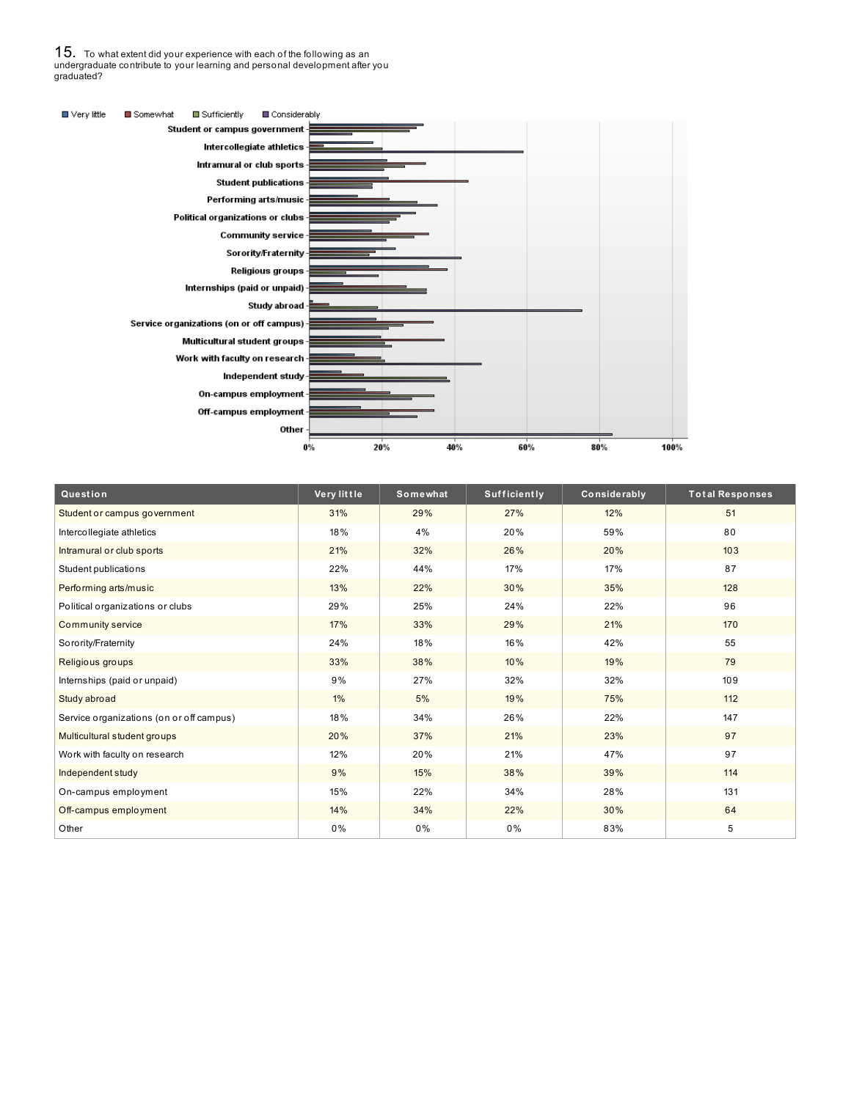15. To what extent did your experience with each of the following as an undergraduate contribute to your learning and personal development after you graduated?



| Question                                 | Very little | Somewhat | Sufficiently | Considerably | <b>Total Responses</b> |
|------------------------------------------|-------------|----------|--------------|--------------|------------------------|
| Student or campus government             | 31%         | 29%      | 27%          | 12%          | 51                     |
| Intercollegiate athletics                | 18%         | 4%       | 20%          | 59%          | 80                     |
| Intramural or club sports                | 21%         | 32%      | 26%          | 20%          | 103                    |
| Student publications                     | 22%         | 44%      | 17%          | 17%          | 87                     |
| Performing arts/music                    | 13%         | 22%      | 30%          | 35%          | 128                    |
| Political organizations or clubs         | 29%         | 25%      | 24%          | 22%          | 96                     |
| <b>Community service</b>                 | 17%         | 33%      | 29%          | 21%          | 170                    |
| Sorority/Fraternity                      | 24%         | 18%      | 16%          | 42%          | 55                     |
| Religious groups                         | 33%         | 38%      | 10%          | 19%          | 79                     |
| Internships (paid or unpaid)             | 9%          | 27%      | 32%          | 32%          | 109                    |
| Study abroad                             | 1%          | 5%       | 19%          | 75%          | 112                    |
| Service organizations (on or off campus) | 18%         | 34%      | 26%          | 22%          | 147                    |
| Multicultural student groups             | 20%         | 37%      | 21%          | 23%          | 97                     |
| Work with faculty on research            | 12%         | 20%      | 21%          | 47%          | 97                     |
| Independent study                        | 9%          | 15%      | 38%          | 39%          | 114                    |
| On-campus employment                     | 15%         | 22%      | 34%          | 28%          | 131                    |
| Off-campus employment                    | 14%         | 34%      | 22%          | 30%          | 64                     |
| Other                                    | 0%          | 0%       | 0%           | 83%          | 5                      |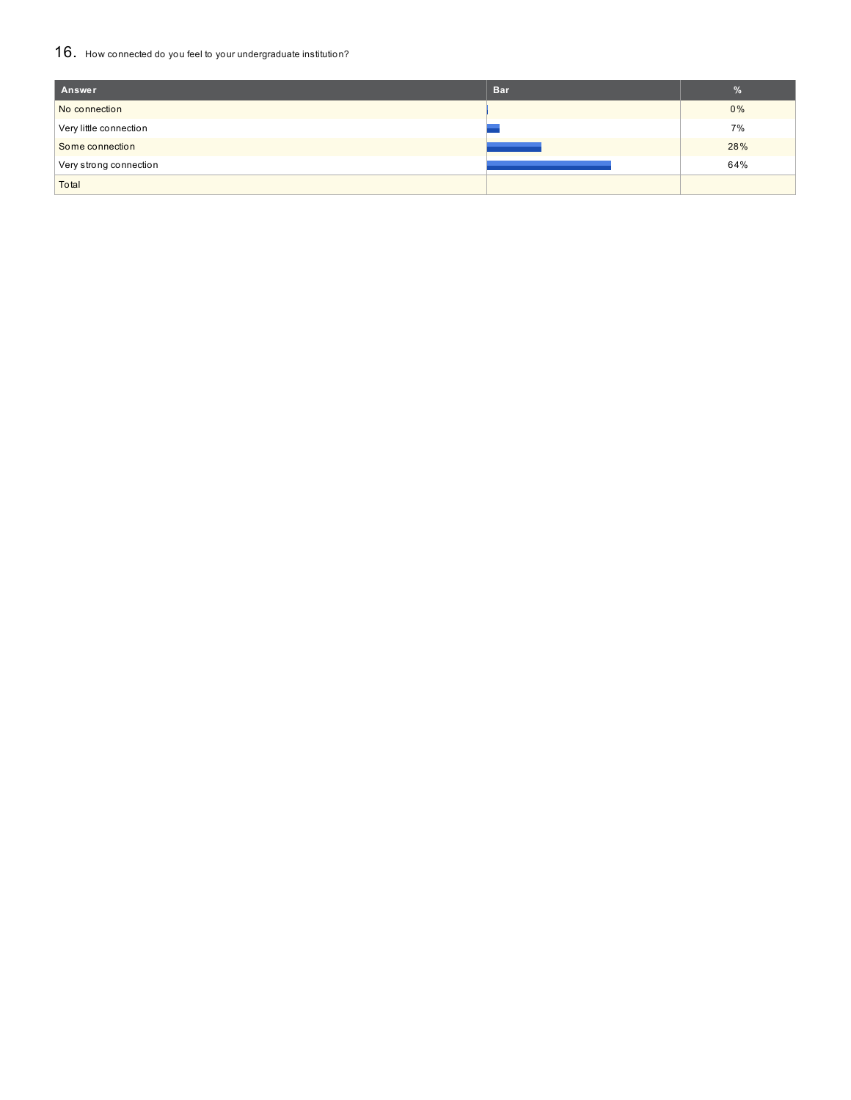### 16. How connected do you feel to your undergraduate institution?

| Answer                 | <b>Bar</b> |     |
|------------------------|------------|-----|
| No connection          |            | 0%  |
| Very little connection |            | 7%  |
| Some connection        |            | 28% |
| Very strong connection |            | 64% |
| Total                  |            |     |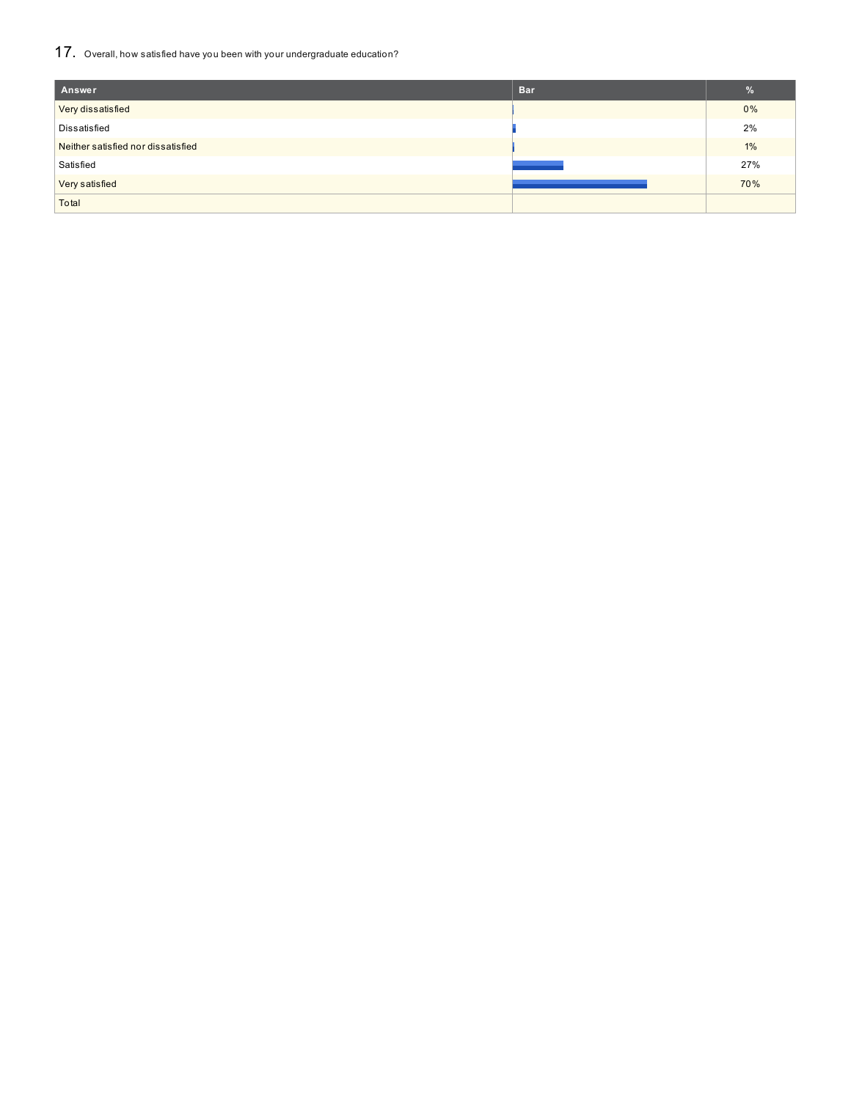17. Overall, how satisfied have you been with your undergraduate education?

| Answer                             | <b>Bar</b> | %     |
|------------------------------------|------------|-------|
| Very dissatisfied                  |            | 0%    |
| Dissatisfied                       |            | 2%    |
| Neither satisfied nor dissatisfied |            | $1\%$ |
| Satisfied                          | __         | 27%   |
| Very satisfied                     |            | 70%   |
| Total                              |            |       |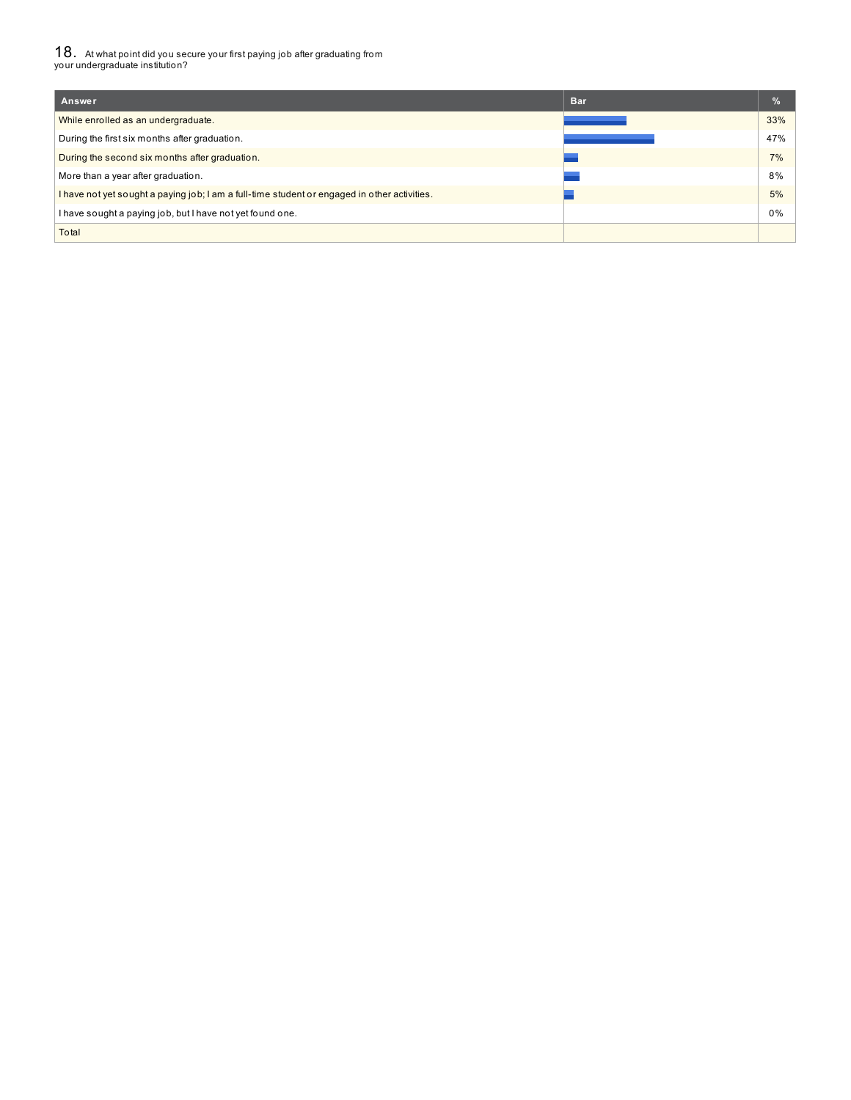${\bf 18.} \;\;$  At what point did you secure your first paying job after graduating from<br>your undergraduate institution?

| Answer                                                                                       | <b>Bar</b> | $\frac{1}{2}$ |
|----------------------------------------------------------------------------------------------|------------|---------------|
| While enrolled as an undergraduate.                                                          |            | 33%           |
| During the first six months after graduation.                                                |            | 47%           |
| During the second six months after graduation.                                               |            | 7%            |
| More than a year after graduation.                                                           |            | 8%            |
| I have not yet sought a paying job; I am a full-time student or engaged in other activities. |            | 5%            |
| I have sought a paying job, but I have not yet found one.                                    |            | 0%            |
| Total                                                                                        |            |               |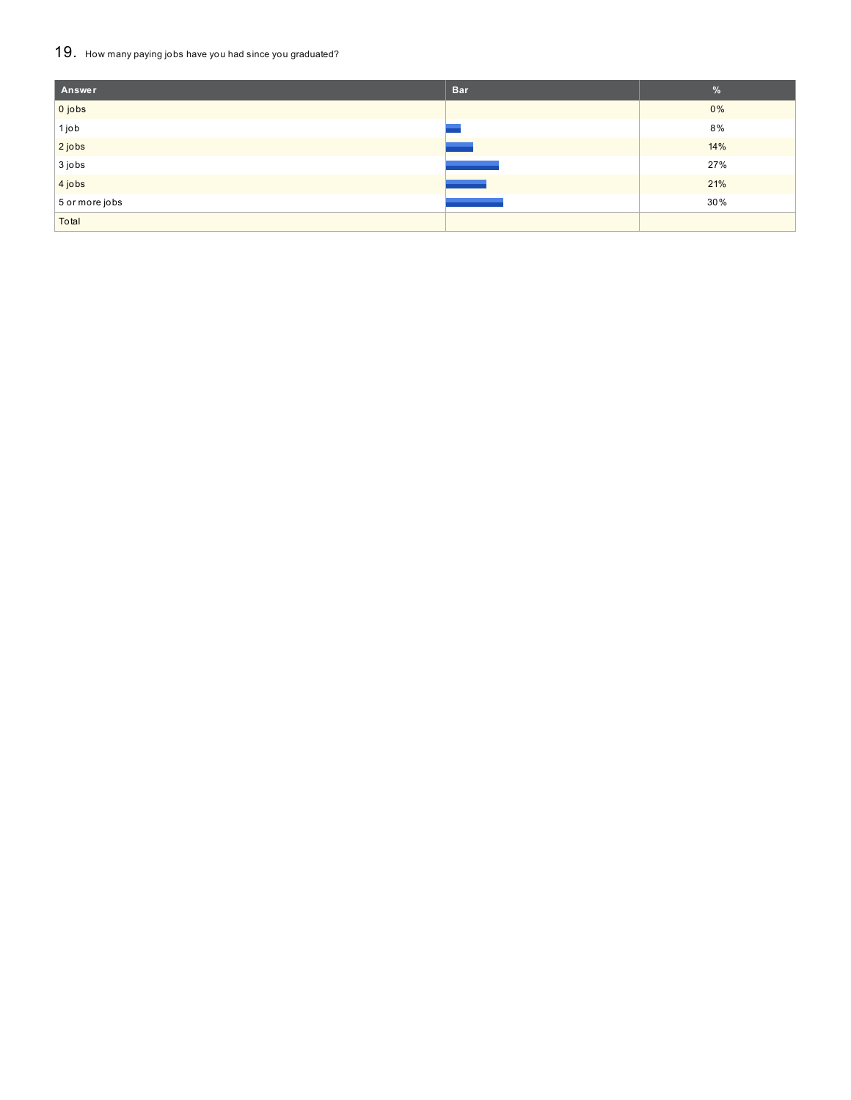### 19. How many paying jobs have you had since you graduated?

| Answer         | <b>Bar</b> | $\frac{9}{6}$ |
|----------------|------------|---------------|
| 0 jobs         |            | 0%            |
| 1 job          |            | 8%            |
| 2 jobs         |            | 14%           |
| $3$ jobs       |            | 27%           |
| 4 jobs         |            | 21%           |
| 5 or more jobs |            | 30%           |
| Total          |            |               |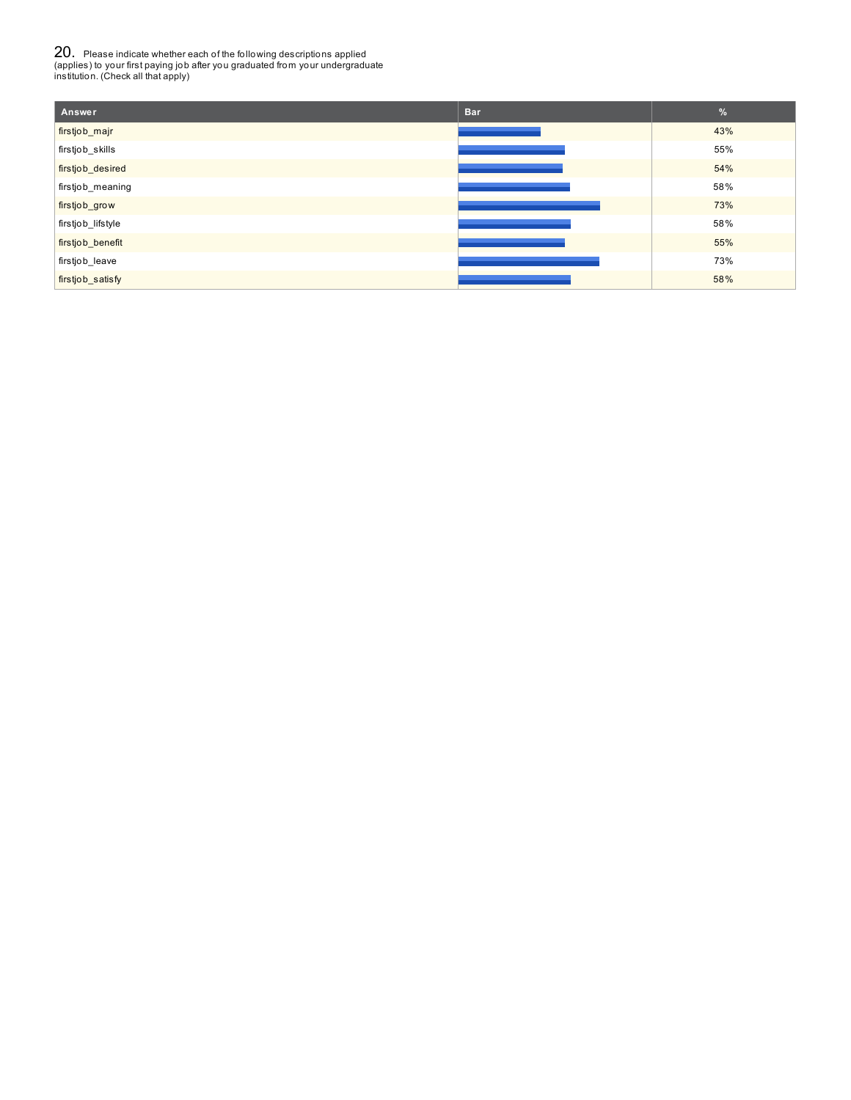20. Please indicate whether each of the following descriptions applied (applies) to your first paying job after you graduated from your undergraduate institution. (Check all that apply)

| Answer            | <b>Bar</b> | $\frac{9}{6}$ |
|-------------------|------------|---------------|
| firstjob_majr     |            | 43%           |
| firstjob_skills   |            | 55%           |
| firstjob_desired  |            | 54%           |
| firstjob_meaning  |            | 58%           |
| firstjob_grow     |            | 73%           |
| firstjob_lifstyle |            | 58%           |
| firstjob_benefit  |            | 55%           |
| firstjob_leave    |            | 73%           |
| firstjob_satisfy  |            | 58%           |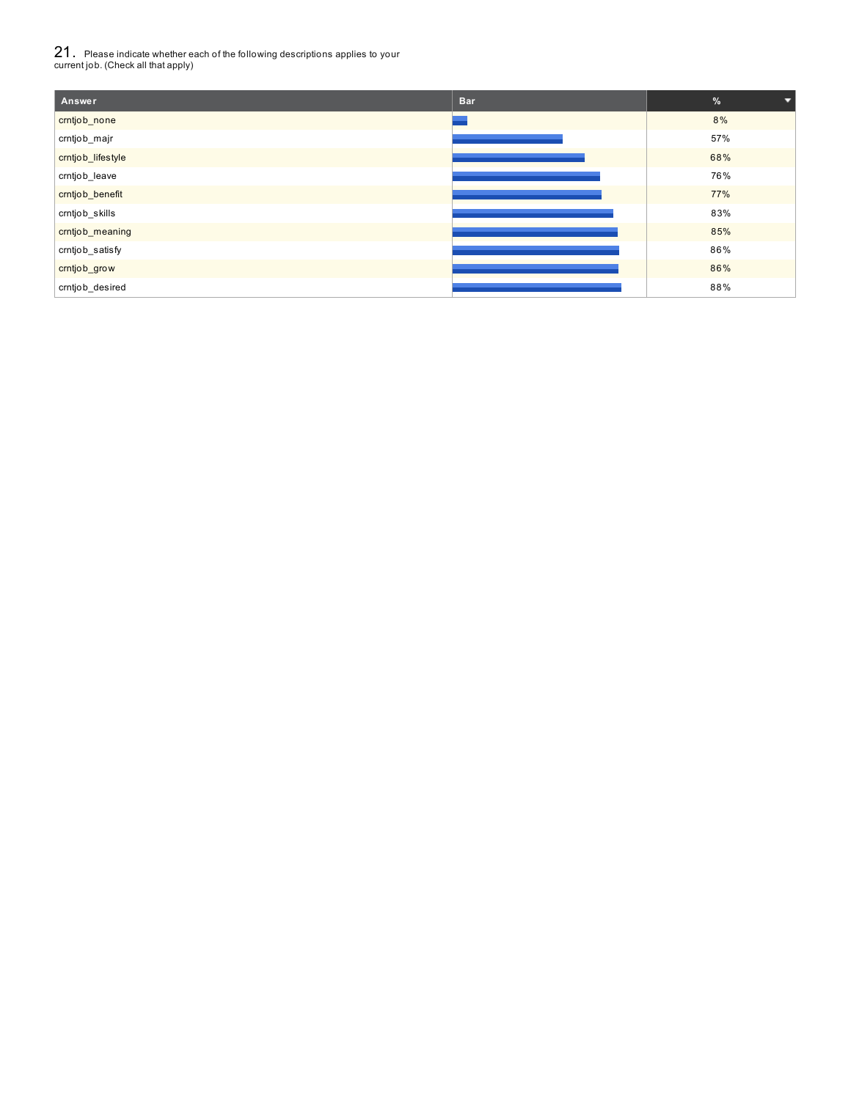# $21_\cdot$  Please indicate whether each of the following descriptions applies to your<br>current job. (Check all that apply)

| Answer            | <b>Bar</b> | %<br>u |
|-------------------|------------|--------|
| crntjob_none      |            | 8%     |
| crntjob_majr      |            | 57%    |
| crntjob_lifestyle |            | 68%    |
| crntjob_leave     |            | 76%    |
| crntjob_benefit   |            | 77%    |
| crntjob_skills    |            | 83%    |
| crntjob_meaning   |            | 85%    |
| crntjob_satisfy   |            | 86%    |
| crntjob_grow      |            | 86%    |
| crntjob_desired   |            | 88%    |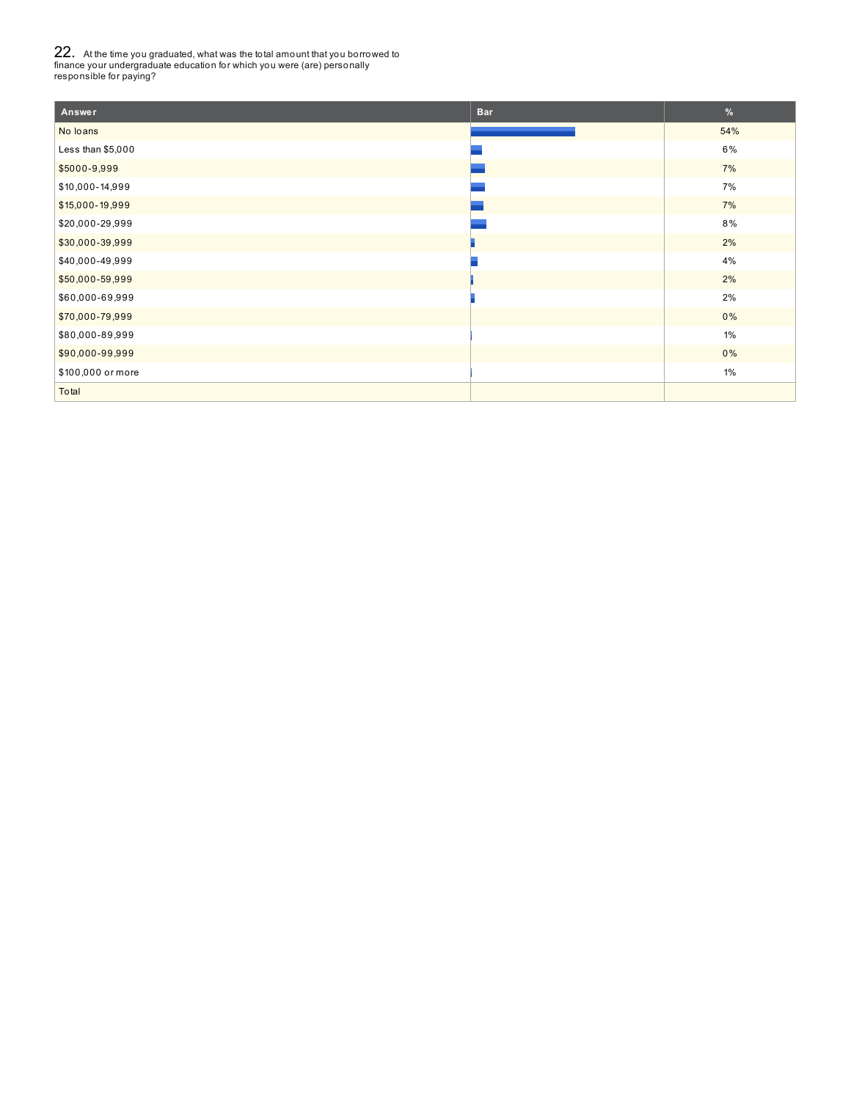22. At the time you graduated, what was the total amount that you borrowed to finance your undergraduate education for which you were (are) personally responsible for paying?

| Answer            | <b>Bar</b> | %     |
|-------------------|------------|-------|
| No loans          |            | 54%   |
| Less than \$5,000 |            | 6%    |
| \$5000-9,999      |            | 7%    |
| \$10,000-14,999   |            | 7%    |
| \$15,000-19,999   |            | 7%    |
| \$20,000-29,999   |            | 8%    |
| \$30,000-39,999   |            | 2%    |
| \$40,000-49,999   |            | 4%    |
| \$50,000-59,999   |            | 2%    |
| \$60,000-69,999   |            | 2%    |
| \$70,000-79,999   |            | 0%    |
| \$80,000-89,999   |            | $1\%$ |
| \$90,000-99,999   |            | 0%    |
| \$100,000 or more |            | $1\%$ |
| Total             |            |       |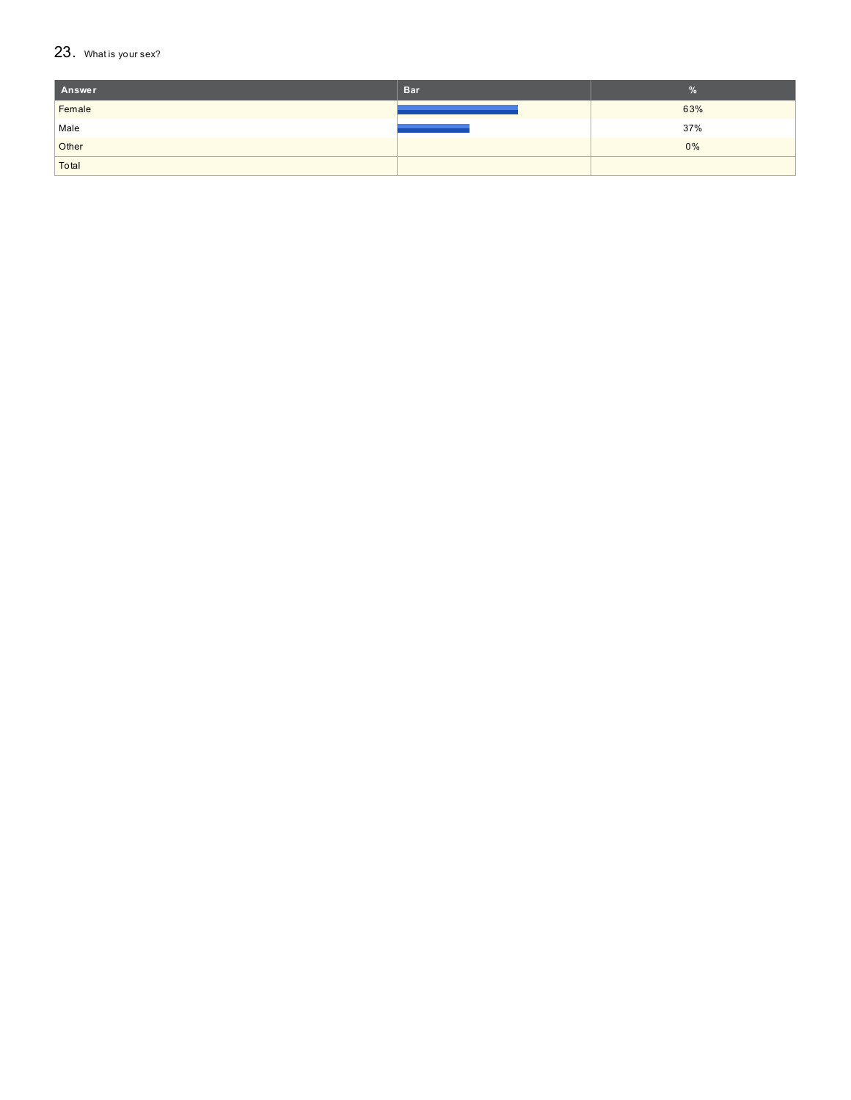### $23.$  What is your sex?

| Answer | <b>Bar</b> | $\%$ |
|--------|------------|------|
| Female |            | 63%  |
| Male   |            | 37%  |
| Other  |            | 0%   |
| Total  |            |      |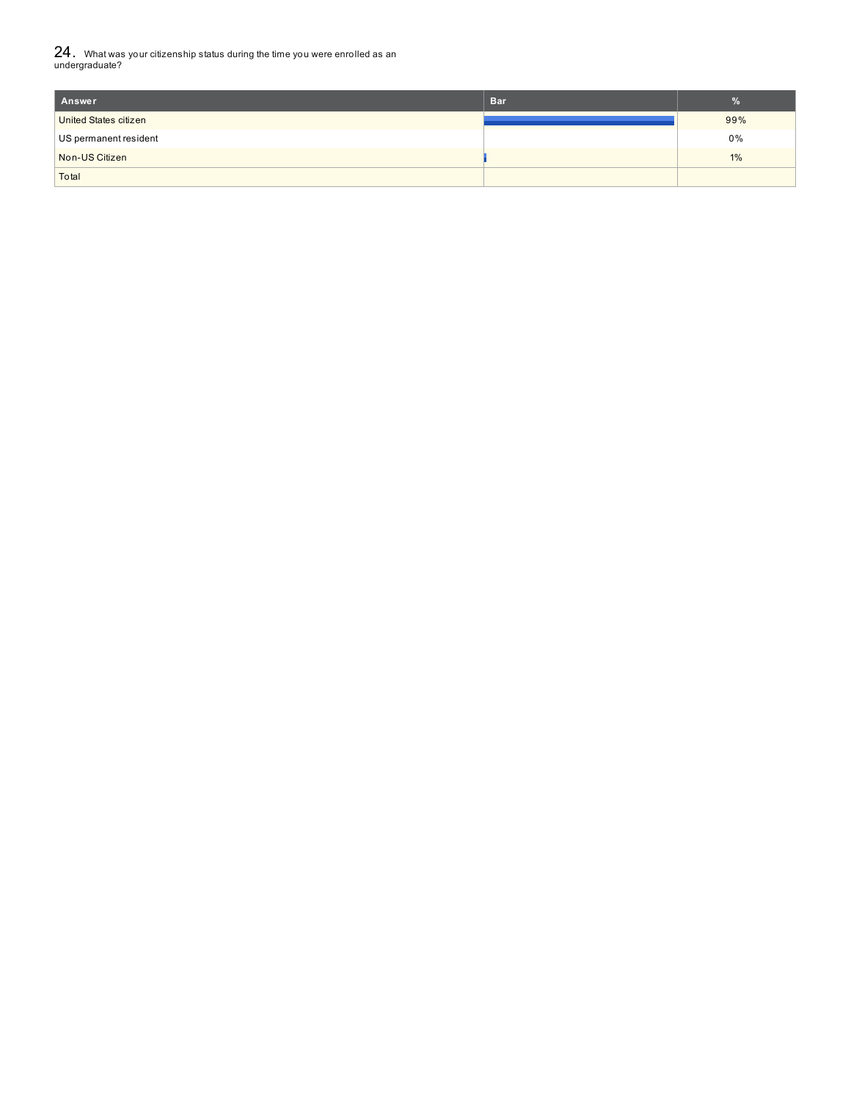24. What was your citizenship status during the time you were enrolled as an undergraduate?

| Answer                | <b>Bar</b> |       |
|-----------------------|------------|-------|
| United States citizen |            | 99%   |
| US permanent resident |            | 0%    |
| Non-US Citizen        |            | $1\%$ |
| Total                 |            |       |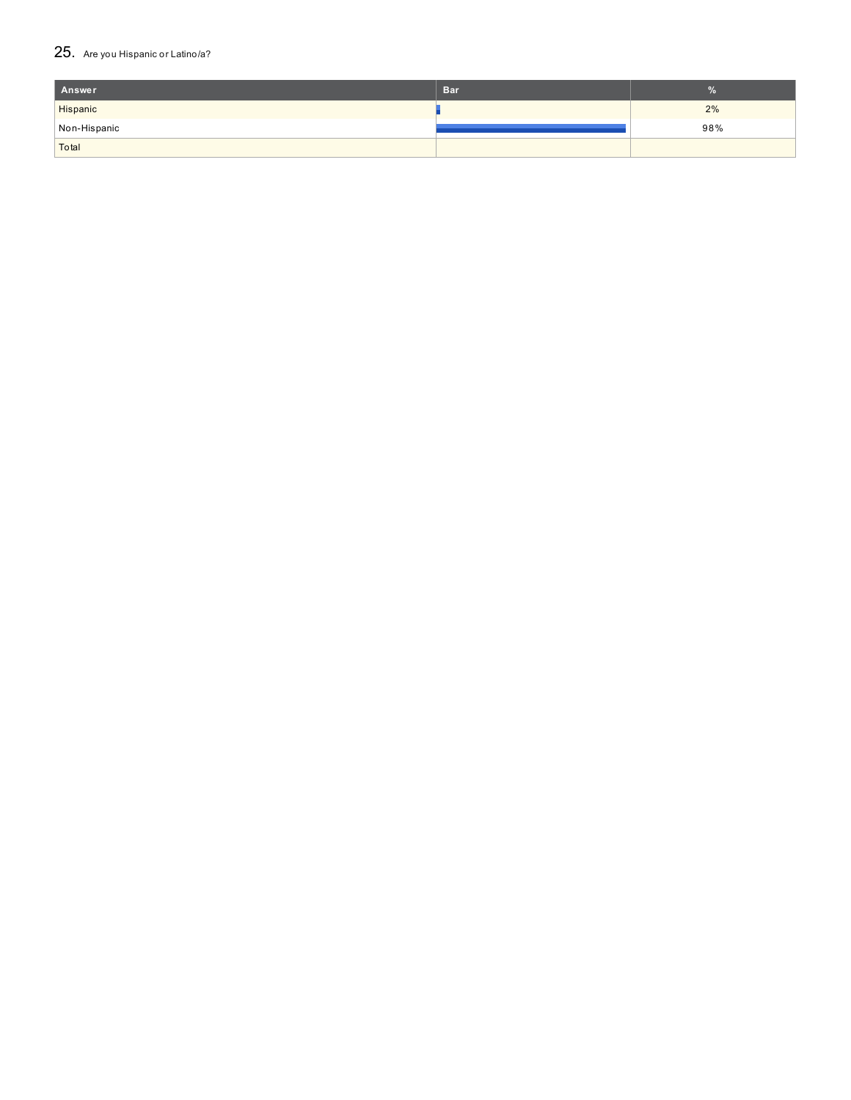### $25$ . Are you Hispanic or Latino/a?

| Answer       | <b>Bar</b> |     |
|--------------|------------|-----|
| Hispanic     |            | 2%  |
| Non-Hispanic |            | 98% |
| Total        |            |     |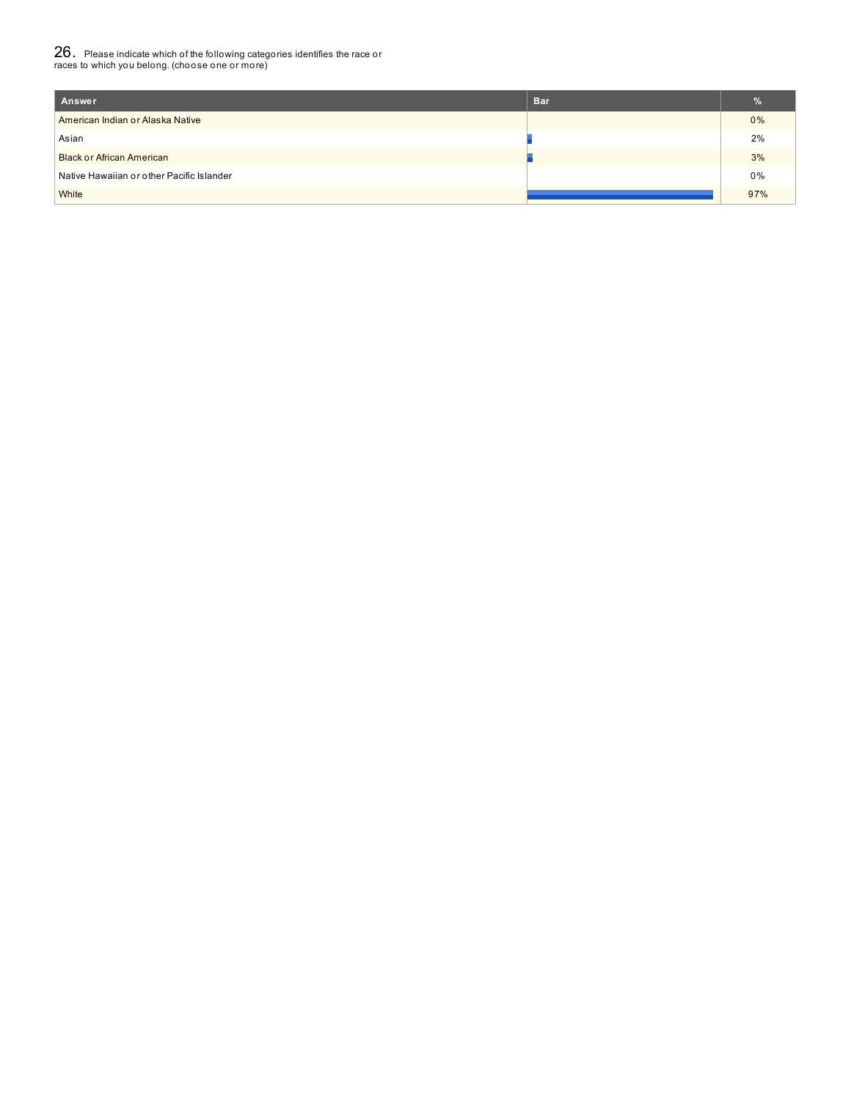26. Please indicate which of the following categories identifies the race or races to which you belong. (choose one or more)

| Answer                                    | <b>Bar</b> |     |
|-------------------------------------------|------------|-----|
| American Indian or Alaska Native          |            | 0%  |
| Asian                                     |            | 2%  |
| <b>Black or African American</b>          |            | 3%  |
| Native Hawaiian or other Pacific Islander |            | 0%  |
| White                                     |            | 97% |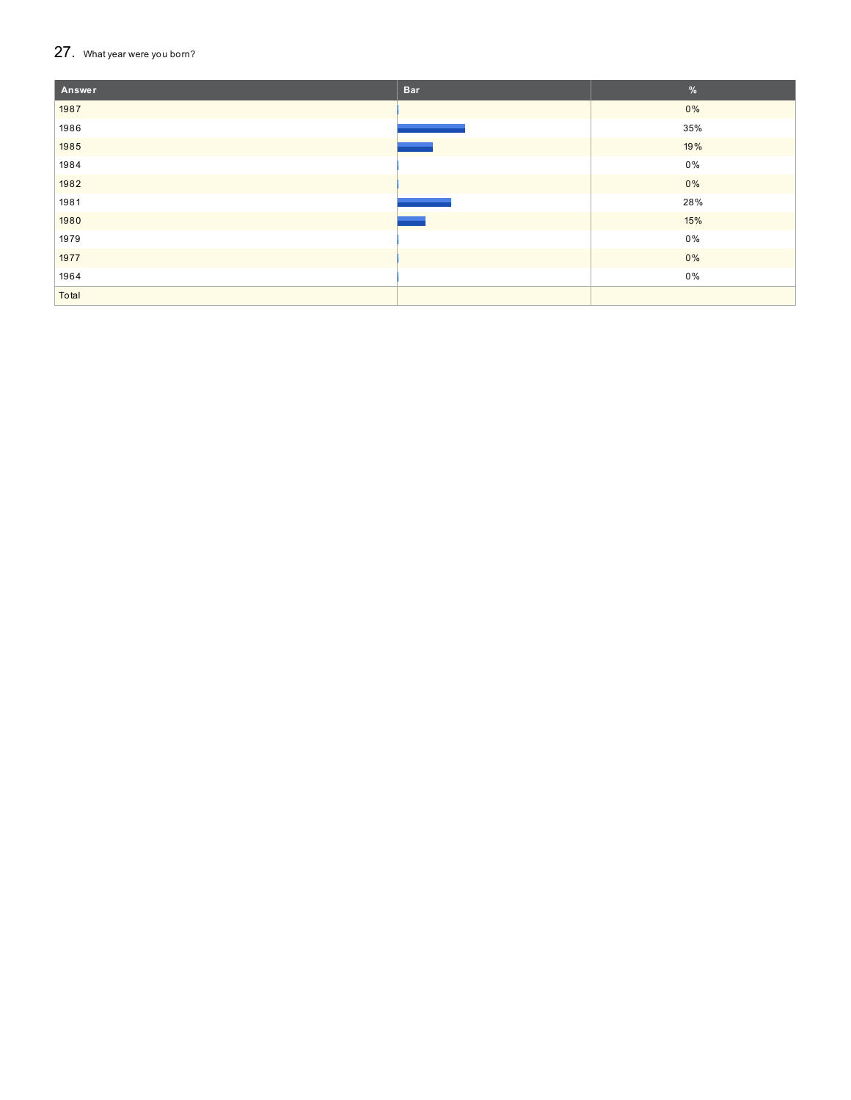## $27.$  What year were you born?

| Answer | <b>Bar</b> | $\%$  |
|--------|------------|-------|
| 1987   |            | $0\%$ |
| 1986   |            | 35%   |
| 1985   |            | 19%   |
| 1984   |            | $0\%$ |
| 1982   |            | 0%    |
| 1981   |            | 28%   |
| 1980   |            | 15%   |
| 1979   |            | $0\%$ |
| 1977   |            | 0%    |
| 1964   |            | $0\%$ |
| Total  |            |       |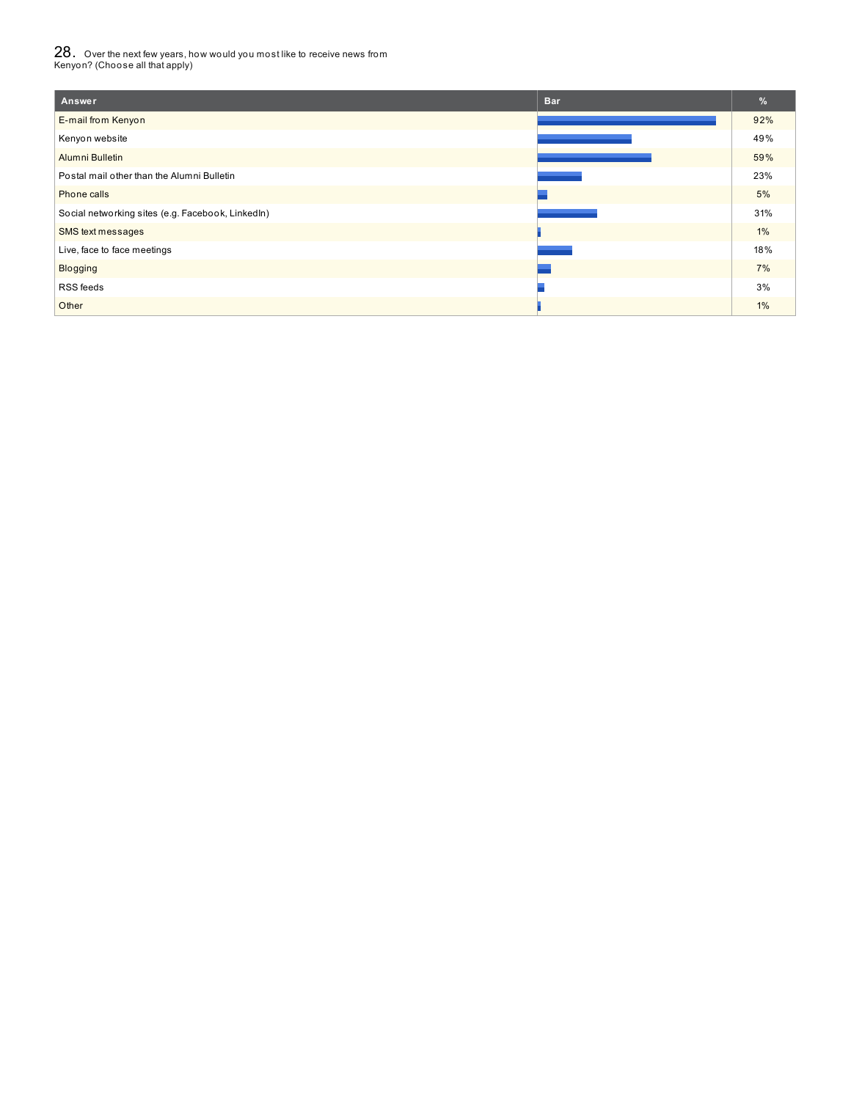28. Over the next few years, how would you most like to receive news from Kenyon? (Choose all that apply)

| Answer<br><b>Bar</b>                              | %     |
|---------------------------------------------------|-------|
| E-mail from Kenyon                                | 92%   |
| Kenyon website                                    | 49%   |
| Alumni Bulletin                                   | 59%   |
| Postal mail other than the Alumni Bulletin        | 23%   |
| Phone calls                                       | 5%    |
| Social networking sites (e.g. Facebook, LinkedIn) | 31%   |
| SMS text messages                                 | $1\%$ |
| Live, face to face meetings                       | 18%   |
| Blogging                                          | 7%    |
| RSS feeds                                         | 3%    |
| Other                                             | 1%    |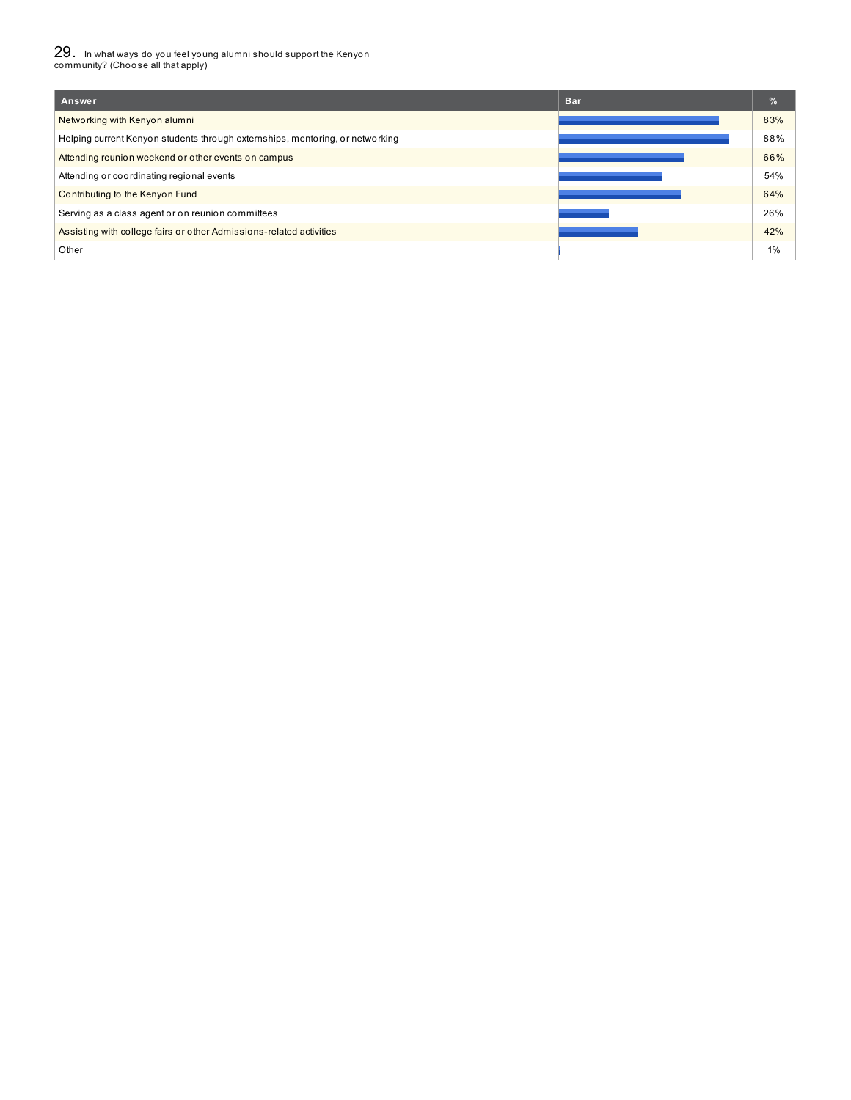29. In what ways do you feel young alumni should support the Kenyon community? (Choose all that apply)

| Answer                                                                        | <b>Bar</b> | %   |
|-------------------------------------------------------------------------------|------------|-----|
| Networking with Kenyon alumni                                                 |            | 83% |
| Helping current Kenyon students through externships, mentoring, or networking |            | 88% |
| Attending reunion weekend or other events on campus                           |            | 66% |
| Attending or coordinating regional events                                     |            | 54% |
| Contributing to the Kenyon Fund                                               |            | 64% |
| Serving as a class agent or on reunion committees                             |            | 26% |
| Assisting with college fairs or other Admissions-related activities           |            | 42% |
| Other                                                                         |            | 1%  |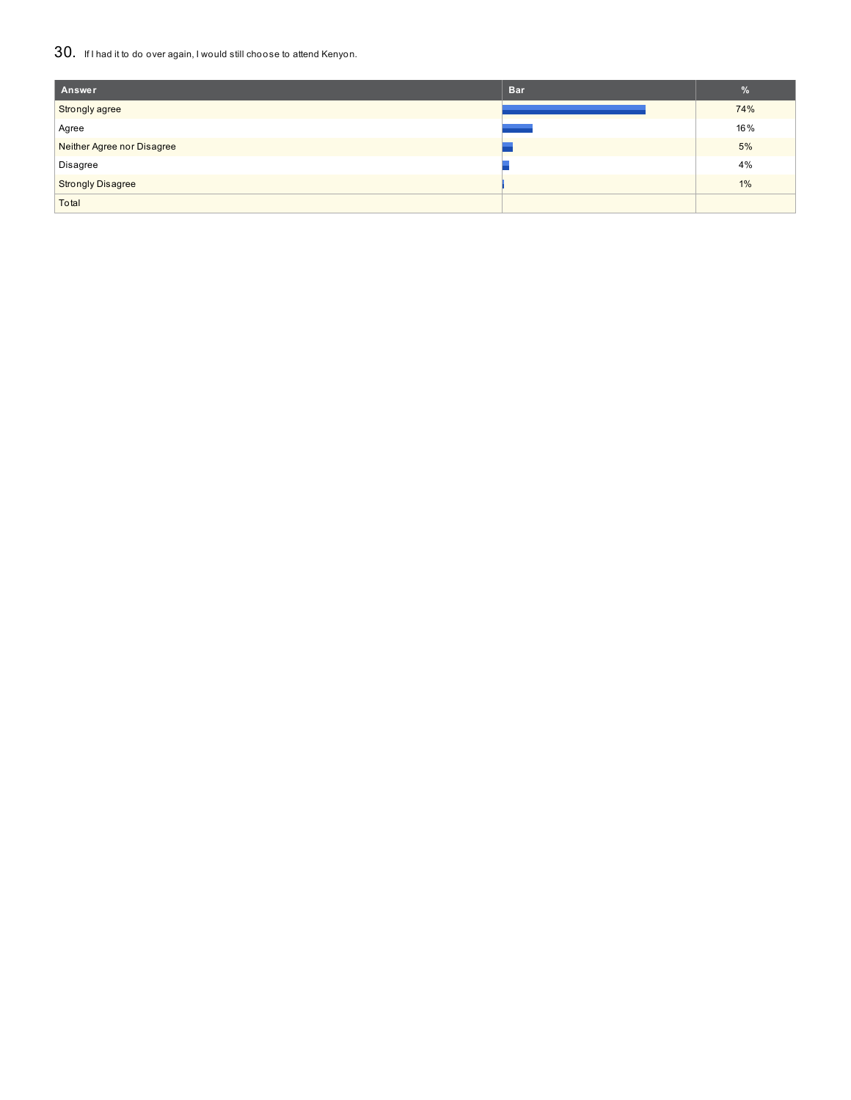### $30_\cdot$  If I had it to do over again, I would still choose to attend Kenyon.

| Answer<br><b>Bar</b>       | %   |
|----------------------------|-----|
| Strongly agree             | 74% |
| Agree                      | 16% |
| Neither Agree nor Disagree | 5%  |
| Disagree                   | 4%  |
| <b>Strongly Disagree</b>   | 1%  |
| Total                      |     |